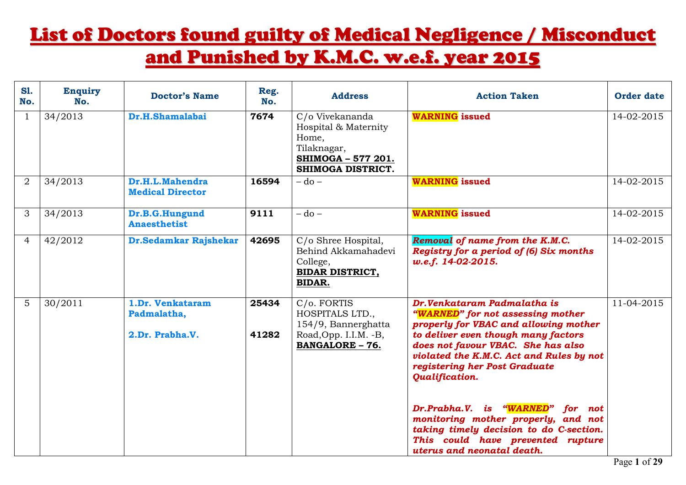## List of Doctors found guilty of Medical Negligence / Misconduct

## and Punished by K.M.C. w.e.f. year <sup>2015</sup>

| <b>S1.</b><br>No. | <b>Enquiry</b><br>No. | <b>Doctor's Name</b>                               | Reg.<br>No.    | <b>Address</b>                                                                                                                        | <b>Action Taken</b>                                                                                                                                                                                                                                                                                                                                                                                                                                                             | <b>Order date</b> |
|-------------------|-----------------------|----------------------------------------------------|----------------|---------------------------------------------------------------------------------------------------------------------------------------|---------------------------------------------------------------------------------------------------------------------------------------------------------------------------------------------------------------------------------------------------------------------------------------------------------------------------------------------------------------------------------------------------------------------------------------------------------------------------------|-------------------|
| 1                 | 34/2013               | Dr.H.Shamalabai                                    | 7674           | $\overline{C}$ o Vivekananda<br>Hospital & Maternity<br>Home,<br>Tilaknagar,<br><b>SHIMOGA - 577 201.</b><br><b>SHIMOGA DISTRICT.</b> | <b>WARNING</b> issued                                                                                                                                                                                                                                                                                                                                                                                                                                                           | 14-02-2015        |
| 2                 | 34/2013               | Dr.H.L.Mahendra<br><b>Medical Director</b>         | 16594          | $-do-$                                                                                                                                | <b>WARNING</b> issued                                                                                                                                                                                                                                                                                                                                                                                                                                                           | 14-02-2015        |
| 3                 | 34/2013               | Dr.B.G.Hungund<br><b>Anaesthetist</b>              | 9111           | $-do-$                                                                                                                                | <b>WARNING</b> issued                                                                                                                                                                                                                                                                                                                                                                                                                                                           | 14-02-2015        |
| $\overline{4}$    | 42/2012               | Dr.Sedamkar Rajshekar                              | 42695          | C/o Shree Hospital,<br>Behind Akkamahadevi<br>College,<br><b>BIDAR DISTRICT,</b><br><b>BIDAR.</b>                                     | Removal of name from the K.M.C.<br>Registry for a period of (6) Six months<br>w.e.f. 14-02-2015.                                                                                                                                                                                                                                                                                                                                                                                | 14-02-2015        |
| 5                 | 30/2011               | 1.Dr. Venkataram<br>Padmalatha,<br>2.Dr. Prabha.V. | 25434<br>41282 | C/o. FORTIS<br>HOSPITALS LTD.,<br>154/9, Bannerghatta<br>Road, Opp. I.I.M. -B,<br><b>BANGALORE - 76.</b>                              | Dr. Venkataram Padmalatha is<br>"WARNED" for not assessing mother<br>properly for VBAC and allowing mother<br>to deliver even though many factors<br>does not favour VBAC. She has also<br>violated the K.M.C. Act and Rules by not<br>registering her Post Graduate<br>Qualification.<br>Dr.Prabha.V. is "WARNED" for not<br>monitoring mother properly, and not<br>taking timely decision to do C-section.<br>This could have prevented rupture<br>uterus and neonatal death. | 11-04-2015        |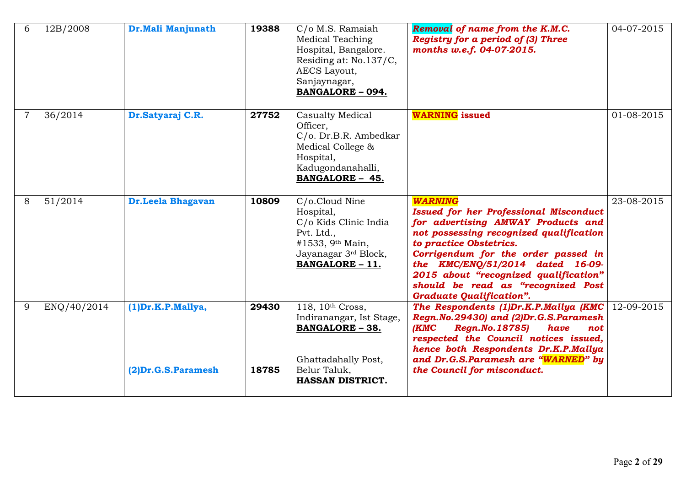| 6              | 12B/2008    | Dr.Mali Manjunath                         | 19388          | C/o M.S. Ramaiah<br>Medical Teaching<br>Hospital, Bangalore.<br>Residing at: No.137/C,<br>AECS Layout,<br>Sanjaynagar,<br><b>BANGALORE - 094.</b> | Removal of name from the K.M.C.<br>Registry for a period of (3) Three<br>months w.e.f. 04-07-2015.                                                                                                                                                                                                                                                                       | 04-07-2015 |
|----------------|-------------|-------------------------------------------|----------------|---------------------------------------------------------------------------------------------------------------------------------------------------|--------------------------------------------------------------------------------------------------------------------------------------------------------------------------------------------------------------------------------------------------------------------------------------------------------------------------------------------------------------------------|------------|
| $\overline{7}$ | 36/2014     | Dr.Satyaraj C.R.                          | 27752          | <b>Casualty Medical</b><br>Officer,<br>C/o. Dr.B.R. Ambedkar<br>Medical College &<br>Hospital,<br>Kadugondanahalli,<br><b>BANGALORE - 45.</b>     | <b>WARNING</b> issued                                                                                                                                                                                                                                                                                                                                                    | 01-08-2015 |
| 8              | 51/2014     | <b>Dr.Leela Bhagavan</b>                  | 10809          | C/o.Cloud Nine<br>Hospital,<br>C/o Kids Clinic India<br>Pvt. Ltd.,<br>#1533, 9th Main,<br>Jayanagar 3rd Block,<br><b>BANGALORE - 11.</b>          | <b>WARNING</b><br><b>Issued for her Professional Misconduct</b><br>for advertising AMWAY Products and<br>not possessing recognized qualification<br>to practice Obstetrics.<br>Corrigendum for the order passed in<br>the KMC/EN0/51/2014 dated 16-09-<br>2015 about "recognized qualification"<br>should be read as "recognized Post<br><b>Graduate Qualification".</b> | 23-08-2015 |
| 9              | ENQ/40/2014 | (1)Dr.K.P.Mallya,<br>(2) Dr.G.S. Paramesh | 29430<br>18785 | 118, 10th Cross,<br>Indiranangar, Ist Stage,<br><b>BANGALORE - 38.</b><br>Ghattadahally Post,<br>Belur Taluk,<br>HASSAN DISTRICT.                 | The Respondents (1)Dr.K.P.Mallya (KMC)<br>Regn.No.29430) and (2)Dr.G.S.Paramesh<br><b>(KMC)</b><br><b>Regn.No.18785)</b><br>have<br>not<br>respected the Council notices issued,<br>hence both Respondents Dr.K.P.Mallya<br>and Dr.G.S.Paramesh are "WARNED" by<br>the Council for misconduct.                                                                           | 12-09-2015 |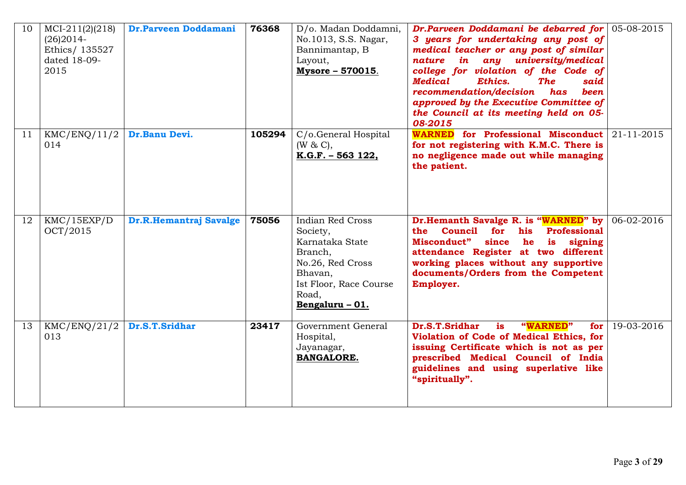| 10 | $MCI-211(2)(218)$<br>$(26)2014-$<br>Ethics/ 135527<br>dated 18-09-<br>2015 | <b>Dr.Parveen Doddamani</b> | 76368  | D/o. Madan Doddamni,<br>No.1013, S.S. Nagar,<br>Bannimantap, B<br>Layout,<br><b>Mysore - 570015.</b>                                                   | <b>Dr.Parveen Doddamani be debarred for</b> $05-08-2015$<br>3 years for undertaking any post of<br>medical teacher or any post of similar<br>nature in any university/medical<br>college for violation of the Code of<br><b>Medical</b><br>Ethics.<br><b>The</b><br>said<br>recommendation/decision has<br>been<br>approved by the Executive Committee of<br>the Council at its meeting held on 05-<br>08-2015 |            |
|----|----------------------------------------------------------------------------|-----------------------------|--------|--------------------------------------------------------------------------------------------------------------------------------------------------------|----------------------------------------------------------------------------------------------------------------------------------------------------------------------------------------------------------------------------------------------------------------------------------------------------------------------------------------------------------------------------------------------------------------|------------|
| 11 | KMC/ENQ/11/2<br>014                                                        | Dr.Banu Devi.               | 105294 | C/o.General Hospital<br>(W & C),<br>K.G.F. - 563 122,                                                                                                  | <b>WARNED</b> for Professional Misconduct<br>for not registering with K.M.C. There is<br>no negligence made out while managing<br>the patient.                                                                                                                                                                                                                                                                 | 21-11-2015 |
| 12 | KMC/15EXP/D<br>OCT/2015                                                    | Dr.R.Hemantraj Savalge      | 75056  | <b>Indian Red Cross</b><br>Society,<br>Karnataka State<br>Branch,<br>No.26, Red Cross<br>Bhavan,<br>Ist Floor, Race Course<br>Road,<br>Bengaluru - 01. | Dr.Hemanth Savalge R. is "WARNED" by<br><b>Council</b><br>for his<br>Professional<br>the<br><b>Misconduct"</b><br>since he is<br>signing<br>attendance Register at two different<br>working places without any supportive<br>documents/Orders from the Competent<br>Employer.                                                                                                                                  | 06-02-2016 |
| 13 | KMC/ENQ/21/2<br>013                                                        | Dr.S.T.Sridhar              | 23417  | Government General<br>Hospital,<br>Jayanagar,<br><b>BANGALORE.</b>                                                                                     | Dr.S.T.Sridhar<br>"WARNED"<br>is<br>for<br>Violation of Code of Medical Ethics, for<br>issuing Certificate which is not as per<br>prescribed Medical Council of India<br>guidelines and using superlative like<br>"spiritually".                                                                                                                                                                               | 19-03-2016 |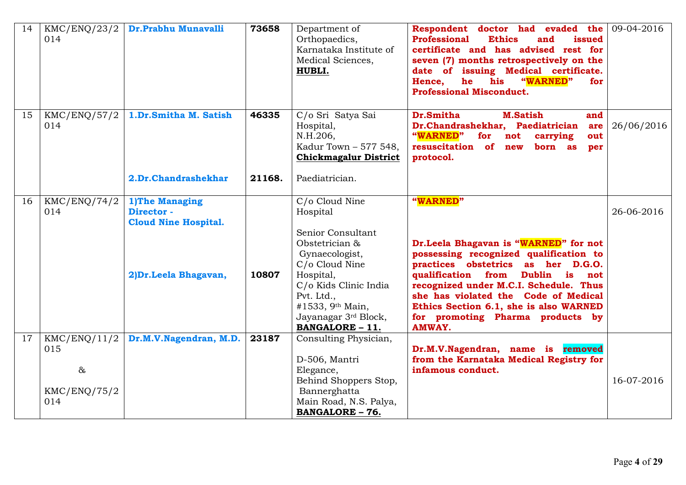| 14 | KMC/ENQ/23/2<br>014                                | Dr.Prabhu Munavalli                                                                   | 73658           | Department of<br>Orthopaedics,<br>Karnataka Institute of<br>Medical Sciences,<br>HUBLI.                                                                                                                                         | Respondent doctor had evaded the<br>Professional<br><b>Ethics</b><br>issued<br>and<br>certificate and has advised rest for<br>seven (7) months retrospectively on the<br>date of issuing Medical certificate.<br>his<br>"WARNED"<br>he<br>Hence,<br>for<br><b>Professional Misconduct.</b>                                                            | 09-04-2016 |
|----|----------------------------------------------------|---------------------------------------------------------------------------------------|-----------------|---------------------------------------------------------------------------------------------------------------------------------------------------------------------------------------------------------------------------------|-------------------------------------------------------------------------------------------------------------------------------------------------------------------------------------------------------------------------------------------------------------------------------------------------------------------------------------------------------|------------|
| 15 | KMC/ENQ/57/2<br>014                                | 1.Dr.Smitha M. Satish<br>2.Dr.Chandrashekhar                                          | 46335<br>21168. | C/o Sri Satya Sai<br>Hospital,<br>N.H.206,<br>Kadur Town - 577 548,<br><b>Chickmagalur District</b><br>Paediatrician.                                                                                                           | Dr.Smitha<br><b>M.Satish</b><br>and<br>Dr.Chandrashekhar, Paediatrician<br>are<br>"WARNED"<br>for<br>not<br>carrying<br>out<br>resuscitation of new<br>born as<br>per<br>protocol.                                                                                                                                                                    | 26/06/2016 |
| 16 | KMC/ENQ/74/2<br>014                                | 1)The Managing<br>Director -<br><b>Cloud Nine Hospital.</b><br>2) Dr. Leela Bhagavan, | 10807           | C/o Cloud Nine<br>Hospital<br>Senior Consultant<br>Obstetrician &<br>Gynaecologist,<br>C/o Cloud Nine<br>Hospital,<br>C/o Kids Clinic India<br>Pvt. Ltd.,<br>#1533, 9th Main,<br>Jayanagar 3rd Block,<br><b>BANGALORE - 11.</b> | "WARNED"<br>Dr.Leela Bhagavan is "WARNED" for not<br>possessing recognized qualification to<br>practices obstetrics as her D.G.O.<br>qualification from<br>Dublin is<br>not<br>recognized under M.C.I. Schedule. Thus<br>she has violated the Code of Medical<br>Ethics Section 6.1, she is also WARNED<br>for promoting Pharma products by<br>AMWAY. | 26-06-2016 |
| 17 | KMC/ENQ/11/2<br>015<br>$\&$<br>KMC/ENQ/75/2<br>014 | Dr.M.V.Nagendran, M.D.                                                                | 23187           | Consulting Physician,<br>D-506, Mantri<br>Elegance,<br>Behind Shoppers Stop,<br>Bannerghatta<br>Main Road, N.S. Palya,<br><b>BANGALORE - 76.</b>                                                                                | Dr.M.V.Nagendran, name is removed<br>from the Karnataka Medical Registry for<br>infamous conduct.                                                                                                                                                                                                                                                     | 16-07-2016 |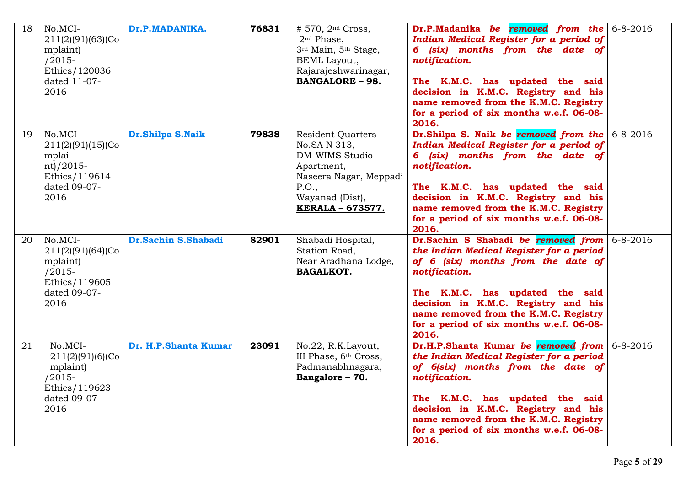| 18 | No.MCI-<br>211(2)(91)(63)(Co<br>mplaint)<br>$/2015-$<br>Ethics/120036<br>dated 11-07-<br>2016 | Dr.P.MADANIKA.       | 76831 | # 570, $2^{nd}$ Cross,<br>2 <sup>nd</sup> Phase,<br>3rd Main, 5th Stage,<br><b>BEML</b> Layout,<br>Rajarajeshwarinagar,<br><b>BANGALORE - 98.</b>                 | Dr.P.Madanika be removed from the<br>Indian Medical Register for a period of<br>6 (six) months from the date of<br>notification.<br>The K.M.C. has updated the said<br>decision in K.M.C. Registry and his<br>name removed from the K.M.C. Registry<br>for a period of six months w.e.f. 06-08-<br>2016.       | $6 - 8 - 2016$ |
|----|-----------------------------------------------------------------------------------------------|----------------------|-------|-------------------------------------------------------------------------------------------------------------------------------------------------------------------|----------------------------------------------------------------------------------------------------------------------------------------------------------------------------------------------------------------------------------------------------------------------------------------------------------------|----------------|
| 19 | No.MCI-<br>211(2)(91)(15)(Co<br>mplai<br>$nt)/2015-$<br>Ethics/119614<br>dated 09-07-<br>2016 | Dr.Shilpa S.Naik     | 79838 | <b>Resident Quarters</b><br>No. SA N 313,<br><b>DM-WIMS Studio</b><br>Apartment,<br>Naseera Nagar, Meppadi<br>P.O.,<br>Wayanad (Dist),<br><b>KERALA - 673577.</b> | Dr.Shilpa S. Naik be removed from the<br>Indian Medical Register for a period of<br>6 (six) months from the date of<br>notification.<br>The K.M.C. has updated the said<br>decision in K.M.C. Registry and his<br>name removed from the K.M.C. Registry<br>for a period of six months w.e.f. 06-08-<br>2016.   | $6 - 8 - 2016$ |
| 20 | No.MCI-<br>211(2)(91)(64)(Co<br>mplaint)<br>$/2015-$<br>Ethics/119605<br>dated 09-07-<br>2016 | Dr.Sachin S.Shabadi  | 82901 | Shabadi Hospital,<br>Station Road,<br>Near Aradhana Lodge,<br><b>BAGALKOT.</b>                                                                                    | Dr.Sachin S Shabadi be removed from<br>the Indian Medical Register for a period<br>of 6 (six) months from the date of<br>notification.<br>The K.M.C. has updated the said<br>decision in K.M.C. Registry and his<br>name removed from the K.M.C. Registry<br>for a period of six months w.e.f. 06-08-<br>2016. | $6 - 8 - 2016$ |
| 21 | No.MCI-<br>211(2)(91)(6)(Co<br>mplaint)<br>$/2015-$<br>Ethics/119623<br>dated 09-07-<br>2016  | Dr. H.P.Shanta Kumar | 23091 | No.22, R.K.Layout,<br>III Phase, 6th Cross,<br>Padmanabhnagara,<br>Bangalore - 70.                                                                                | Dr.H.P.Shanta Kumar be removed from<br>the Indian Medical Register for a period<br>of 6(six) months from the date of<br>notification.<br>The K.M.C. has updated the said<br>decision in K.M.C. Registry and his<br>name removed from the K.M.C. Registry<br>for a period of six months w.e.f. 06-08-<br>2016.  | $6 - 8 - 2016$ |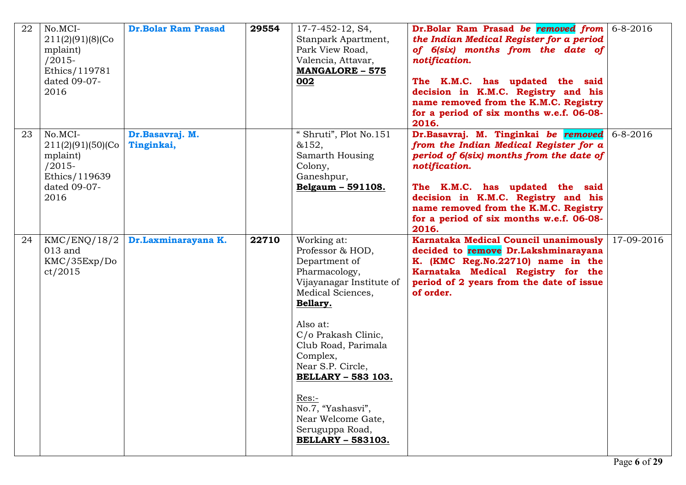| 22 | No.MCI-<br>211(2)(91)(8)(Co<br>mplaint)<br>$/2015-$<br>Ethics/119781<br>dated 09-07-<br>2016  | <b>Dr.Bolar Ram Prasad</b>    | 29554 | 17-7-452-12, S4,<br>Stanpark Apartment,<br>Park View Road,<br>Valencia, Attavar,<br><b>MANGALORE - 575</b><br>002                                                                                                                                                                                                                                            | Dr.Bolar Ram Prasad be removed from<br>the Indian Medical Register for a period<br>of 6(six) months from the date of<br>notification.<br>The K.M.C. has updated the said<br>decision in K.M.C. Registry and his<br>name removed from the K.M.C. Registry<br>for a period of six months w.e.f. 06-08-<br>2016.       | $6 - 8 - 2016$ |
|----|-----------------------------------------------------------------------------------------------|-------------------------------|-------|--------------------------------------------------------------------------------------------------------------------------------------------------------------------------------------------------------------------------------------------------------------------------------------------------------------------------------------------------------------|---------------------------------------------------------------------------------------------------------------------------------------------------------------------------------------------------------------------------------------------------------------------------------------------------------------------|----------------|
| 23 | No.MCI-<br>211(2)(91)(50)(Co<br>mplaint)<br>$/2015-$<br>Ethics/119639<br>dated 09-07-<br>2016 | Dr.Basavraj. M.<br>Tinginkai, |       | " Shruti", Plot No.151<br>&152,<br>Samarth Housing<br>Colony,<br>Ganeshpur,<br>Belgaum - 591108.                                                                                                                                                                                                                                                             | Dr.Basavraj. M. Tinginkai be removed<br>from the Indian Medical Register for a<br>period of 6(six) months from the date of<br>notification.<br>The K.M.C. has updated the said<br>decision in K.M.C. Registry and his<br>name removed from the K.M.C. Registry<br>for a period of six months w.e.f. 06-08-<br>2016. | $6 - 8 - 2016$ |
| 24 | KMC/ENQ/18/2<br>$013$ and<br>KMC/35Exp/Do<br>ct/2015                                          | Dr.Laxminarayana K.           | 22710 | Working at:<br>Professor & HOD,<br>Department of<br>Pharmacology,<br>Vijayanagar Institute of<br>Medical Sciences,<br>Bellary.<br>Also at:<br>C/o Prakash Clinic,<br>Club Road, Parimala<br>Complex,<br>Near S.P. Circle,<br><b>BELLARY - 583 103.</b><br>$Res:$ -<br>No.7, "Yashasvi",<br>Near Welcome Gate,<br>Seruguppa Road,<br><b>BELLARY - 583103.</b> | Karnataka Medical Council unanimously<br>decided to remove Dr.Lakshminarayana<br>K. (KMC Reg.No.22710) name in the<br>Karnataka Medical Registry for the<br>period of 2 years from the date of issue<br>of order.                                                                                                   | 17-09-2016     |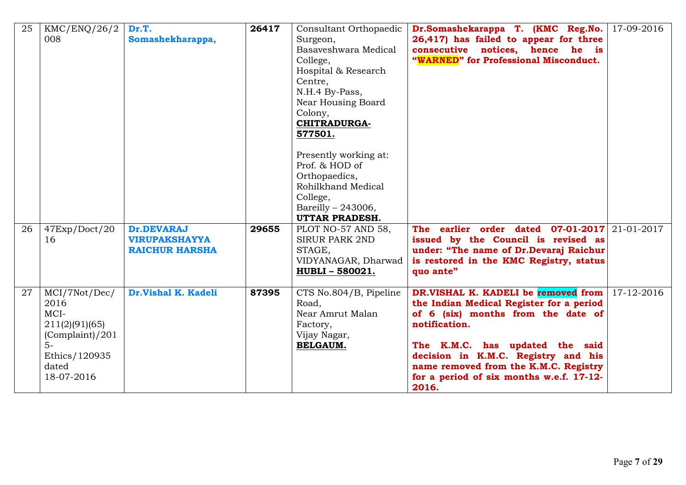| 25 | KMC/ENQ/26/2<br>008                                                                                                | Dr.T.<br>Somashekharappa,                                          | 26417 | Consultant Orthopaedic<br>Surgeon,<br>Basaveshwara Medical<br>College,<br>Hospital & Research<br>Centre,<br>N.H.4 By-Pass, | Dr.Somashekarappa T. (KMC Reg.No.<br>26,417) has failed to appear for three<br>consecutive notices, hence he is<br>"WARNED" for Professional Misconduct.                                                                                                                                                       | 17-09-2016 |
|----|--------------------------------------------------------------------------------------------------------------------|--------------------------------------------------------------------|-------|----------------------------------------------------------------------------------------------------------------------------|----------------------------------------------------------------------------------------------------------------------------------------------------------------------------------------------------------------------------------------------------------------------------------------------------------------|------------|
|    |                                                                                                                    |                                                                    |       | Near Housing Board<br>Colony,<br><b>CHITRADURGA-</b><br>577501.<br>Presently working at:                                   |                                                                                                                                                                                                                                                                                                                |            |
|    |                                                                                                                    |                                                                    |       | Prof. & HOD of<br>Orthopaedics,<br>Rohilkhand Medical<br>College,<br>Bareilly $-243006$ ,<br>UTTAR PRADESH.                |                                                                                                                                                                                                                                                                                                                |            |
| 26 | $47$ Exp/Doct/20<br>16                                                                                             | <b>Dr.DEVARAJ</b><br><b>VIRUPAKSHAYYA</b><br><b>RAICHUR HARSHA</b> | 29655 | PLOT NO-57 AND 58,<br><b>SIRUR PARK 2ND</b><br>STAGE,<br>VIDYANAGAR, Dharwad<br><b>HUBLI - 580021.</b>                     | The earlier order dated 07-01-2017<br>issued by the Council is revised as<br>under: "The name of Dr.Devaraj Raichur<br>is restored in the KMC Registry, status<br>quo ante"                                                                                                                                    | 21-01-2017 |
| 27 | MCI/7Not/Dec/<br>2016<br>MCI-<br>211(2)(91)(65)<br>(Complaint)/201<br>$5-$<br>Ethics/120935<br>dated<br>18-07-2016 | Dr.Vishal K. Kadeli                                                | 87395 | CTS No.804/B, Pipeline<br>Road,<br>Near Amrut Malan<br>Factory,<br>Vijay Nagar,<br><b>BELGAUM.</b>                         | DR.VISHAL K. KADELI be removed from<br>the Indian Medical Register for a period<br>of 6 (six) months from the date of<br>notification.<br>The K.M.C. has updated the said<br>decision in K.M.C. Registry and his<br>name removed from the K.M.C. Registry<br>for a period of six months w.e.f. 17-12-<br>2016. | 17-12-2016 |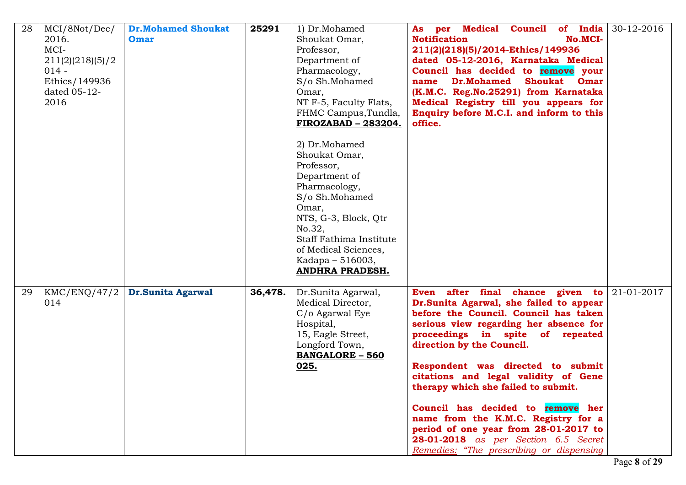| 28 | MCI/8Not/Dec/<br>2016.<br>MCI-<br>211(2)(218)(5)/2<br>$014 -$<br>Ethics/149936<br>dated 05-12-<br>2016 | <b>Dr.Mohamed Shoukat</b><br><b>Omar</b> | 25291   | 1) Dr.Mohamed<br>Shoukat Omar,<br>Professor,<br>Department of<br>Pharmacology,<br>S/o Sh.Mohamed<br>Omar,<br>NT F-5, Faculty Flats,<br>FHMC Campus, Tundla,<br>FIROZABAD - 283204.<br>2) Dr.Mohamed<br>Shoukat Omar,<br>Professor, | As per Medical Council of India<br><b>Notification</b><br>No.MCI-<br>211(2)(218)(5)/2014-Ethics/149936<br>dated 05-12-2016, Karnataka Medical<br>Council has decided to remove your<br><b>Dr.Mohamed</b><br><b>Shoukat</b><br>Omar<br>name<br>(K.M.C. Reg.No.25291) from Karnataka<br>Medical Registry till you appears for<br>Enquiry before M.C.I. and inform to this<br>office.                                                                                                                                                                                     | 30-12-2016 |
|----|--------------------------------------------------------------------------------------------------------|------------------------------------------|---------|------------------------------------------------------------------------------------------------------------------------------------------------------------------------------------------------------------------------------------|------------------------------------------------------------------------------------------------------------------------------------------------------------------------------------------------------------------------------------------------------------------------------------------------------------------------------------------------------------------------------------------------------------------------------------------------------------------------------------------------------------------------------------------------------------------------|------------|
|    |                                                                                                        |                                          |         | Department of<br>Pharmacology,<br>S/o Sh.Mohamed<br>Omar,<br>NTS, G-3, Block, Qtr<br>No.32,<br>Staff Fathima Institute<br>of Medical Sciences,<br>Kadapa - 516003,<br><b>ANDHRA PRADESH.</b>                                       |                                                                                                                                                                                                                                                                                                                                                                                                                                                                                                                                                                        |            |
| 29 | KMC/ENQ/47/2<br>014                                                                                    | <b>Dr.Sunita Agarwal</b>                 | 36,478. | Dr.Sunita Agarwal,<br>Medical Director,<br>C/o Agarwal Eye<br>Hospital,<br>15, Eagle Street,<br>Longford Town,<br><b>BANGALORE - 560</b><br>025.                                                                                   | after final chance given to<br><b>Even</b><br>Dr.Sunita Agarwal, she failed to appear<br>before the Council. Council has taken<br>serious view regarding her absence for<br>proceedings in spite of repeated<br>direction by the Council.<br>Respondent was directed to submit<br>citations and legal validity of Gene<br>therapy which she failed to submit.<br>Council has decided to remove her<br>name from the K.M.C. Registry for a<br>period of one year from 28-01-2017 to<br>28-01-2018 as per Section 6.5 Secret<br>Remedies: "The prescribing or dispensing | 21-01-2017 |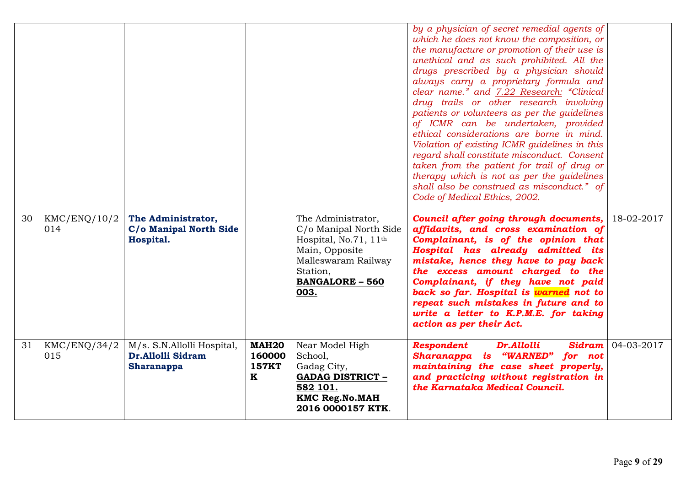|    |                     |                                                                      |                                                       |                                                                                                                                                                          | by a physician of secret remedial agents of<br>which he does not know the composition, or<br>the manufacture or promotion of their use is<br>unethical and as such prohibited. All the<br>drugs prescribed by a physician should<br>always carry a proprietary formula and<br>clear name." and 7.22 Research: "Clinical<br>drug trails or other research involving<br>patients or volunteers as per the guidelines<br>of ICMR can be undertaken, provided<br>ethical considerations are borne in mind.<br>Violation of existing ICMR guidelines in this<br>regard shall constitute misconduct. Consent<br>taken from the patient for trail of drug or<br>therapy which is not as per the guidelines<br>shall also be construed as misconduct." of<br>Code of Medical Ethics, 2002. |            |
|----|---------------------|----------------------------------------------------------------------|-------------------------------------------------------|--------------------------------------------------------------------------------------------------------------------------------------------------------------------------|------------------------------------------------------------------------------------------------------------------------------------------------------------------------------------------------------------------------------------------------------------------------------------------------------------------------------------------------------------------------------------------------------------------------------------------------------------------------------------------------------------------------------------------------------------------------------------------------------------------------------------------------------------------------------------------------------------------------------------------------------------------------------------|------------|
| 30 | KMC/ENQ/10/2<br>014 | The Administrator,<br>C/o Manipal North Side<br>Hospital.            |                                                       | The Administrator,<br>C/o Manipal North Side<br>Hospital, No.71, 11 <sup>th</sup><br>Main, Opposite<br>Malleswaram Railway<br>Station,<br><b>BANGALORE - 560</b><br>003. | Council after going through documents,<br>affidavits, and cross examination of<br>Complainant, is of the opinion that<br>Hospital has already admitted its<br>mistake, hence they have to pay back<br>the excess amount charged to the<br>Complainant, if they have not paid<br>back so far. Hospital is warned not to<br>repeat such mistakes in future and to<br>write a letter to K.P.M.E. for taking<br>action as per their Act.                                                                                                                                                                                                                                                                                                                                               | 18-02-2017 |
| 31 | KMC/ENQ/34/2<br>015 | M/s. S.N.Allolli Hospital,<br>Dr.Allolli Sidram<br><b>Sharanappa</b> | <b>MAH20</b><br>160000<br><b>157KT</b><br>$\mathbf K$ | Near Model High<br>School,<br>Gadag City,<br><b>GADAG DISTRICT -</b><br>582 101.<br><b>KMC Reg.No.MAH</b><br>2016 0000157 KTK.                                           | Dr.Allolli<br>Respondent<br><b>Sidram</b><br>Sharanappa is "WARNED" for not<br>maintaining the case sheet properly,<br>and practicing without registration in<br>the Karnataka Medical Council.                                                                                                                                                                                                                                                                                                                                                                                                                                                                                                                                                                                    | 04-03-2017 |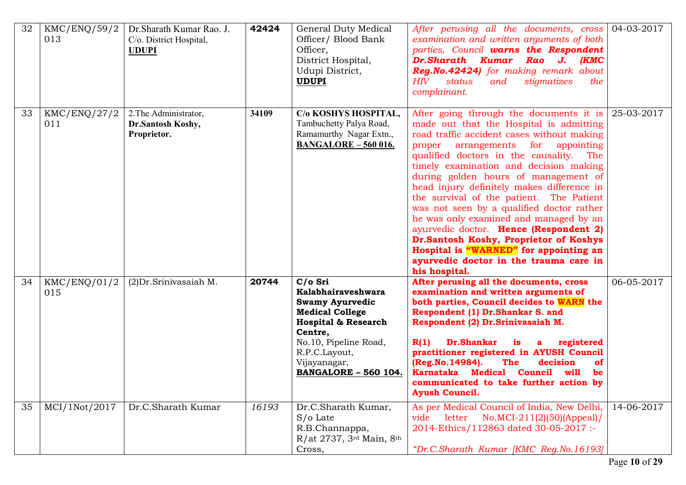| 32 | KMC/ENQ/59/2<br>013 | Dr. Sharath Kumar Rao. J.<br>C/o. District Hospital,<br><b>UDUPI</b> | 42424 | <b>General Duty Medical</b><br>Officer/ Blood Bank<br>Officer,<br>District Hospital,<br>Udupi District,<br><b>UDUPI</b>                                                                                                 | After perusing all the documents, cross<br>examination and written arguments of both<br>parties, Council warns the Respondent<br>Dr.Sharath Kumar Rao J.<br><b>(KMC</b><br>Reg.No.42424) for making remark about<br>stigmatizes<br><b>HIV</b><br>status<br>and<br>the<br>complainant.                                                                                                                                                                                                                                                                                                                                                                                               | 04-03-2017 |
|----|---------------------|----------------------------------------------------------------------|-------|-------------------------------------------------------------------------------------------------------------------------------------------------------------------------------------------------------------------------|-------------------------------------------------------------------------------------------------------------------------------------------------------------------------------------------------------------------------------------------------------------------------------------------------------------------------------------------------------------------------------------------------------------------------------------------------------------------------------------------------------------------------------------------------------------------------------------------------------------------------------------------------------------------------------------|------------|
| 33 | KMC/ENQ/27/2<br>011 | 2. The Administrator,<br>Dr.Santosh Koshy,<br>Proprietor.            | 34109 | C/o KOSHYS HOSPITAL,<br>Tambuchetty Palya Road,<br>Ramamurthy Nagar Extn.,<br><b>BANGALORE - 560 016.</b>                                                                                                               | After going through the documents it is<br>made out that the Hospital is admitting<br>road traffic accident cases without making<br>arrangements for appointing<br>proper<br>qualified doctors in the causality.<br>The<br>timely examination and decision making<br>during golden hours of management of<br>head injury definitely makes difference in<br>the survival of the patient. The Patient<br>was not seen by a qualified doctor rather<br>he was only examined and managed by an<br>ayurvedic doctor. Hence (Respondent 2)<br>Dr.Santosh Koshy, Proprietor of Koshys<br>Hospital is "WARNED" for appointing an<br>ayurvedic doctor in the trauma care in<br>his hospital. | 25-03-2017 |
| 34 | KMC/ENQ/01/2<br>015 | (2) Dr. Srinivasaiah M.                                              | 20744 | C/o Sri<br>Kalabhairaveshwara<br><b>Swamy Ayurvedic</b><br><b>Medical College</b><br><b>Hospital &amp; Research</b><br>Centre,<br>No.10, Pipeline Road,<br>R.P.C.Layout,<br>Vijayanagar,<br><b>BANGALORE - 560 104.</b> | After perusing all the documents, cross<br>examination and written arguments of<br>both parties, Council decides to WARN the<br>Respondent (1) Dr.Shankar S. and<br>Respondent (2) Dr. Srinivasaiah M.<br>Dr.Shankar<br>registered<br>R(1)<br>is<br>$\mathbf{a}$<br>practitioner registered in AYUSH Council<br>(Reg. No. 14984).<br><b>The</b><br>decision<br>of<br>Karnataka Medical<br>Council<br>will<br>be<br>communicated to take further action by<br><b>Ayush Council.</b>                                                                                                                                                                                                  | 06-05-2017 |
| 35 | MCI/1Not/2017       | Dr.C.Sharath Kumar                                                   | 16193 | Dr.C.Sharath Kumar,<br>S/o Late<br>R.B.Channappa,<br>R/at 2737, 3rd Main, 8th<br>Cross,                                                                                                                                 | As per Medical Council of India, New Delhi,<br>$No.MCI-211(2)(50)(Append)/$<br>vide<br>letter<br>2014-Ethics/112863 dated 30-05-2017 :-<br>"Dr.C.Sharath Kumar   KMC Reg.No.16193]                                                                                                                                                                                                                                                                                                                                                                                                                                                                                                  | 14-06-2017 |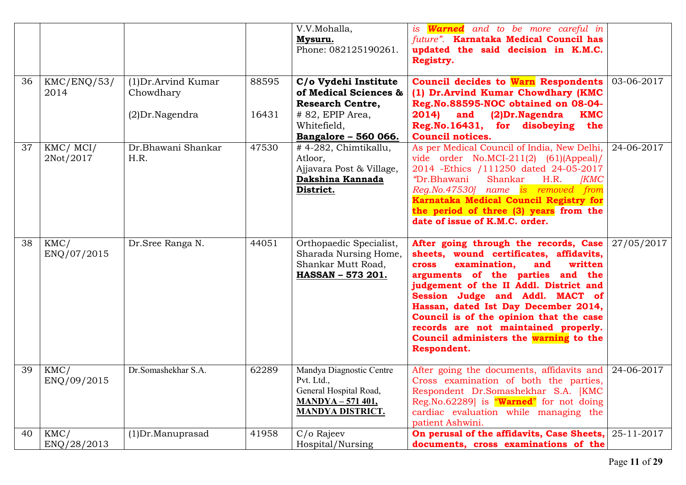|    |                       |                                   |       | V.V.Mohalla,<br>Mysuru.<br>Phone: 082125190261.                                                                         | is <b>Warned</b> and to be more careful in<br>future". Karnataka Medical Council has<br>updated the said decision in K.M.C.<br>Registry.                                                                                                                                                                                                                                                                                                |                          |
|----|-----------------------|-----------------------------------|-------|-------------------------------------------------------------------------------------------------------------------------|-----------------------------------------------------------------------------------------------------------------------------------------------------------------------------------------------------------------------------------------------------------------------------------------------------------------------------------------------------------------------------------------------------------------------------------------|--------------------------|
| 36 | KMC/ENQ/53/<br>2014   | (1) Dr. Arvind Kumar<br>Chowdhary | 88595 | C/o Vydehi Institute<br>of Medical Sciences &<br><b>Research Centre,</b>                                                | Council decides to Warn Respondents<br>(1) Dr.Arvind Kumar Chowdhary (KMC<br>Reg.No.88595-NOC obtained on 08-04-                                                                                                                                                                                                                                                                                                                        | 03-06-2017               |
|    |                       | (2)Dr.Nagendra                    | 16431 | #82, EPIP Area,<br>Whitefield,<br>Bangalore - 560 066.                                                                  | (2)Dr.Nagendra<br>2014<br>and<br><b>KMC</b><br>Reg.No.16431, for disobeying the<br><b>Council notices.</b>                                                                                                                                                                                                                                                                                                                              |                          |
| 37 | KMC/MCI/<br>2Not/2017 | Dr.Bhawani Shankar<br>H.R.        | 47530 | #4-282, Chimtikallu,<br>Atloor,<br>Ajjavara Post & Village,<br>Dakshina Kannada<br>District.                            | As per Medical Council of India, New Delhi,<br>vide order No.MCI-211(2) (61)(Appeal)/<br>2014 - Ethics /111250 dated 24-05-2017<br>"Dr.Bhawani<br>Shankar<br>$H.R.$ <i>[KMC</i> ]<br>Reg.No.47530] name is removed from<br>Karnataka Medical Council Registry for<br>the period of three (3) years from the<br>date of issue of K.M.C. order.                                                                                           | 24-06-2017               |
| 38 | KMC/<br>ENQ/07/2015   | Dr.Sree Ranga N.                  | 44051 | Orthopaedic Specialist,<br>Sharada Nursing Home,<br>Shankar Mutt Road,<br><b>HASSAN - 573 201.</b>                      | After going through the records, Case<br>sheets, wound certificates, affidavits,<br>examination,<br>written<br><b>cross</b><br>and<br>arguments of the parties and the<br>judgement of the II Addl. District and<br>Session Judge and Addl. MACT of<br>Hassan, dated Ist Day December 2014,<br>Council is of the opinion that the case<br>records are not maintained properly.<br>Council administers the warning to the<br>Respondent. | 27/05/2017               |
| 39 | KMC/<br>ENQ/09/2015   | Dr.Somashekhar S.A.               | 62289 | Mandya Diagnostic Centre<br>Pvt. Ltd.,<br>General Hospital Road,<br><b>MANDYA - 571 401,</b><br><b>MANDYA DISTRICT.</b> | After going the documents, affidavits and<br>Cross examination of both the parties,<br>Respondent Dr.Somashekhar S.A. [KMC<br>Reg. No. $62289$ is "Warned" for not doing<br>cardiac evaluation while managing the<br>patient Ashwini.                                                                                                                                                                                                   | 24-06-2017               |
| 40 | KMC/<br>ENQ/28/2013   | (1)Dr.Manuprasad                  | 41958 | C/o Rajeev<br>Hospital/Nursing                                                                                          | On perusal of the affidavits, Case Sheets,<br>documents, cross examinations of the                                                                                                                                                                                                                                                                                                                                                      | $\overline{2}$ 5-11-2017 |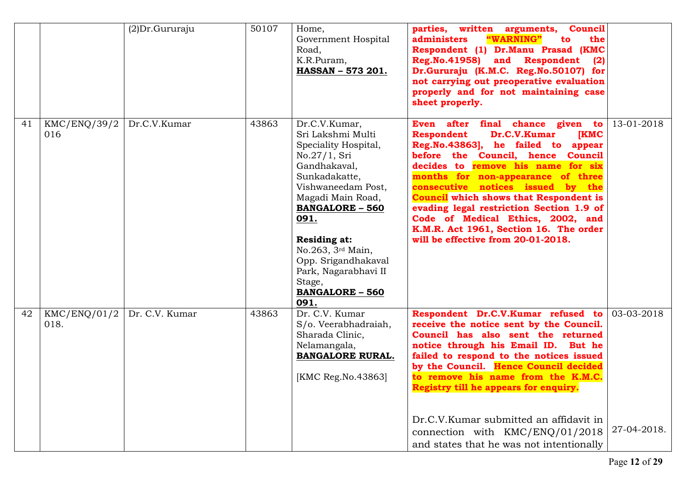|    |                      | (2) Dr. Gururaju | 50107 | Home,<br>Government Hospital<br>Road,<br>K.R.Puram,<br>HASSAN - 573 201.                                                                                                                                                                                                                                                        | parties, written arguments,<br><b>Council</b><br>administers<br>"WARNING"<br>to<br>the<br>Respondent (1) Dr.Manu Prasad (KMC<br>Reg.No.41958) and Respondent (2)<br>Dr.Gururaju (K.M.C. Reg.No.50107) for<br>not carrying out preoperative evaluation<br>properly and for not maintaining case<br>sheet properly.                                                                                                                                                                                       |                           |
|----|----------------------|------------------|-------|---------------------------------------------------------------------------------------------------------------------------------------------------------------------------------------------------------------------------------------------------------------------------------------------------------------------------------|---------------------------------------------------------------------------------------------------------------------------------------------------------------------------------------------------------------------------------------------------------------------------------------------------------------------------------------------------------------------------------------------------------------------------------------------------------------------------------------------------------|---------------------------|
| 41 | KMC/ENQ/39/2<br>016  | Dr.C.V.Kumar     | 43863 | Dr.C.V.Kumar,<br>Sri Lakshmi Multi<br>Speciality Hospital,<br>No.27/1, Sri<br>Gandhakaval,<br>Sunkadakatte,<br>Vishwaneedam Post,<br>Magadi Main Road,<br><b>BANGALORE - 560</b><br>091.<br><b>Residing at:</b><br>No.263, 3rd Main,<br>Opp. Srigandhakaval<br>Park, Nagarabhavi II<br>Stage,<br><b>BANGALORE - 560</b><br>091. | Even after final chance given to<br>Dr.C.V.Kumar<br>Respondent<br><b>[KMC</b><br>Reg. No. 43863], he failed to appear<br>before the Council, hence<br><b>Council</b><br>decides to remove his name for six<br>months for non-appearance of three<br>consecutive notices issued by the<br><b>Council which shows that Respondent is</b><br>evading legal restriction Section 1.9 of<br>Code of Medical Ethics, 2002, and<br>K.M.R. Act 1961, Section 16. The order<br>will be effective from 20-01-2018. | 13-01-2018                |
| 42 | KMC/ENQ/01/2<br>018. | Dr. C.V. Kumar   | 43863 | Dr. C.V. Kumar<br>S/o. Veerabhadraiah,<br>Sharada Clinic,<br>Nelamangala,<br><b>BANGALORE RURAL.</b><br>[KMC Reg.No.43863]                                                                                                                                                                                                      | Respondent Dr.C.V.Kumar refused to<br>receive the notice sent by the Council.<br>Council has also sent the returned<br>notice through his Email ID. But he<br>failed to respond to the notices issued<br>by the Council. Hence Council decided<br>to remove his name from the K.M.C.<br>Registry till he appears for enquiry.<br>Dr.C.V. Kumar submitted an affidavit in<br>connection with KMC/ENQ/01/2018<br>and states that he was not intentionally                                                 | 03-03-2018<br>27-04-2018. |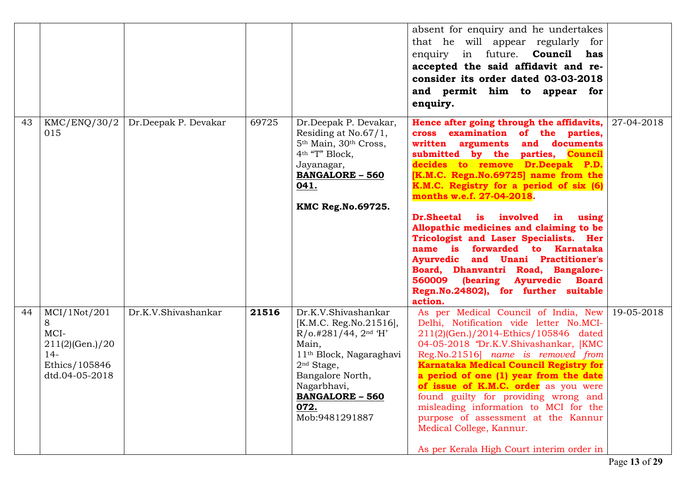|    |                                                                                             |                      |       |                                                                                                                                                                                                                                                       | absent for enquiry and he undertakes<br>that he will appear regularly for<br>enquiry in future. <b>Council</b><br>has<br>accepted the said affidavit and re-<br>consider its order dated 03-03-2018<br>and permit him to appear for<br>enquiry.                                                                                                                                                                                                                                                                                                                                                                                                                        |            |
|----|---------------------------------------------------------------------------------------------|----------------------|-------|-------------------------------------------------------------------------------------------------------------------------------------------------------------------------------------------------------------------------------------------------------|------------------------------------------------------------------------------------------------------------------------------------------------------------------------------------------------------------------------------------------------------------------------------------------------------------------------------------------------------------------------------------------------------------------------------------------------------------------------------------------------------------------------------------------------------------------------------------------------------------------------------------------------------------------------|------------|
| 43 | KMC/ENQ/30/2<br>015                                                                         | Dr.Deepak P. Devakar | 69725 | Dr.Deepak P. Devakar,<br>Residing at $No.67/1$ ,<br>5 <sup>th</sup> Main, 30 <sup>th</sup> Cross,<br>4 <sup>th</sup> "T" Block,<br>Jayanagar,<br><b>BANGALORE - 560</b><br>041.<br><b>KMC Reg.No.69725.</b>                                           | Hence after going through the affidavits,<br>cross examination of the parties,<br>written arguments and documents<br>submitted by the parties, Council<br>decides to remove Dr.Deepak P.D.<br>[K.M.C. Regn.No.69725] name from the<br>K.M.C. Registry for a period of six (6)<br>months w.e.f. 27-04-2018.<br><b>Dr.Sheetal</b><br>involved<br>is<br>in<br>using<br>Allopathic medicines and claiming to be<br>Tricologist and Laser Specialists. Her<br>name is<br>forwarded to Karnataka<br><b>Ayurvedic</b><br>and Unani Practitioner's<br>Board, Dhanvantri Road, Bangalore-<br>560009 (bearing Ayurvedic Board<br>Regn.No.24802), for further suitable<br>action. | 27-04-2018 |
| 44 | MCI/1Not/201<br>8<br>MCI-<br>$211(2)$ (Gen.)/20<br>$14-$<br>Ethics/105846<br>dtd.04-05-2018 | Dr.K.V.Shivashankar  | 21516 | Dr.K.V.Shivashankar<br>[K.M.C. Reg.No.21516],<br>$R$ /0.#281/44, 2 <sup>nd</sup> 'H'<br>Main,<br>11 <sup>th</sup> Block, Nagaraghavi<br>2 <sup>nd</sup> Stage,<br>Bangalore North,<br>Nagarbhavi,<br><b>BANGALORE - 560</b><br>072.<br>Mob:9481291887 | As per Medical Council of India, New<br>Delhi, Notification vide letter No.MCI-<br>211(2)(Gen.)/2014-Ethics/105846 dated<br>04-05-2018 °Dr.K.V.Shivashankar, [KMC<br>Reg.No.21516 name is removed from<br><b>Karnataka Medical Council Registry for</b><br>a period of one (1) year from the date<br>of issue of K.M.C. order as you were<br>found guilty for providing wrong and<br>misleading information to MCI for the<br>purpose of assessment at the Kannur<br>Medical College, Kannur.<br>As per Kerala High Court interim order in                                                                                                                             | 19-05-2018 |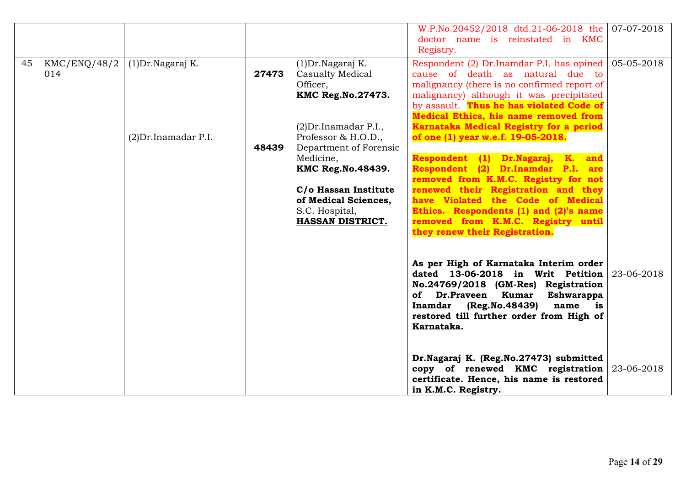|    |                     |                       |       |                                                                                       | W.P.No.20452/2018 dtd.21-06-2018 the<br>doctor name is reinstated in KMC                                                                                                                                                                                      | 07-07-2018 |
|----|---------------------|-----------------------|-------|---------------------------------------------------------------------------------------|---------------------------------------------------------------------------------------------------------------------------------------------------------------------------------------------------------------------------------------------------------------|------------|
|    |                     |                       |       |                                                                                       | Registry.                                                                                                                                                                                                                                                     |            |
| 45 | KMC/ENQ/48/2<br>014 | (1) Dr. Nagaraj K.    | 27473 | (1) Dr. Nagaraj K.<br><b>Casualty Medical</b><br>Officer,<br><b>KMC Reg.No.27473.</b> | Respondent (2) Dr. Inamdar P.I. has opined<br>cause of death as natural due to<br>malignancy (there is no confirmed report of<br>malignancy) although it was precipitated<br>by assault. Thus he has violated Code of                                         | 05-05-2018 |
|    |                     | (2) Dr. Inamadar P.I. | 48439 | (2) Dr. Inamadar P.I.,<br>Professor & H.O.D.,<br>Department of Forensic               | <b>Medical Ethics, his name removed from</b><br>Karnataka Medical Registry for a period<br>of one (1) year w.e.f. 19-05-2018.                                                                                                                                 |            |
|    |                     |                       |       | Medicine,<br><b>KMC Reg.No.48439.</b><br>C/o Hassan Institute                         | Respondent (1) Dr. Nagaraj, K. and<br>Respondent (2) Dr.Inamdar P.I. are<br>removed from K.M.C. Registry for not<br>renewed their Registration and they                                                                                                       |            |
|    |                     |                       |       | of Medical Sciences,<br>S.C. Hospital,<br><b>HASSAN DISTRICT.</b>                     | have Violated the Code of Medical<br>Ethics. Respondents (1) and (2)'s name<br>removed from K.M.C. Registry until<br>they renew their Registration.                                                                                                           |            |
|    |                     |                       |       |                                                                                       | As per High of Karnataka Interim order<br>dated 13-06-2018 in Writ Petition<br>No.24769/2018 (GM-Res) Registration<br>of Dr.Praveen Kumar<br><b>Eshwarappa</b><br>Inamdar (Reg.No.48439)<br>name is<br>restored till further order from High of<br>Karnataka. | 23-06-2018 |
|    |                     |                       |       |                                                                                       | Dr.Nagaraj K. (Reg.No.27473) submitted<br>copy of renewed KMC registration<br>certificate. Hence, his name is restored<br>in K.M.C. Registry.                                                                                                                 | 23-06-2018 |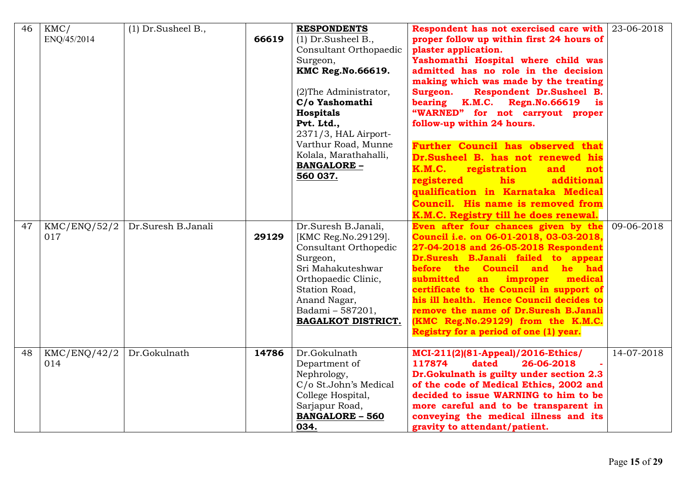| 46 | KMC/<br>ENQ/45/2014 | $(1)$ Dr. Susheel B., | 66619 | <b>RESPONDENTS</b><br>$(1)$ Dr.Susheel B.,<br>Consultant Orthopaedic<br>Surgeon,<br><b>KMC Reg.No.66619.</b><br>(2) The Administrator,<br>C/o Yashomathi<br><b>Hospitals</b><br>Pvt. Ltd.,<br>2371/3, HAL Airport- | Respondent has not exercised care with<br>proper follow up within first 24 hours of<br>plaster application.<br>Yashomathi Hospital where child was<br>admitted has no role in the decision<br>making which was made by the treating<br>Surgeon.<br>Respondent Dr.Susheel B.<br>bearing K.M.C. Regn.No.66619 is<br>"WARNED" for not carryout proper<br>follow-up within 24 hours.                                                                                 | 23-06-2018 |
|----|---------------------|-----------------------|-------|--------------------------------------------------------------------------------------------------------------------------------------------------------------------------------------------------------------------|------------------------------------------------------------------------------------------------------------------------------------------------------------------------------------------------------------------------------------------------------------------------------------------------------------------------------------------------------------------------------------------------------------------------------------------------------------------|------------|
|    |                     |                       |       | Varthur Road, Munne<br>Kolala, Marathahalli,<br><b>BANGALORE -</b><br>560 037.                                                                                                                                     | Further Council has observed that<br>Dr.Susheel B. has not renewed his<br>K.M.C.<br>registration<br>and<br>not<br>his<br>additional<br>registered<br>qualification in Karnataka Medical<br>Council. His name is removed from<br>K.M.C. Registry till he does renewal.                                                                                                                                                                                            |            |
| 47 | KMC/ENQ/52/2<br>017 | Dr.Suresh B.Janali    | 29129 | Dr.Suresh B.Janali,<br>[KMC Reg.No.29129].<br>Consultant Orthopedic<br>Surgeon,<br>Sri Mahakuteshwar<br>Orthopaedic Clinic,<br>Station Road,<br>Anand Nagar,<br>Badami - 587201,<br><b>BAGALKOT DISTRICT.</b>      | Even after four chances given by the<br>Council i.e. on 06-01-2018, 03-03-2018,<br>27-04-2018 and 26-05-2018 Respondent<br>Dr.Suresh B.Janali failed to appear<br>before the Council<br>he had<br>and<br>submitted<br>medical<br>an<br>improper<br>certificate to the Council in support of<br>his ill health. Hence Council decides to<br>remove the name of Dr.Suresh B.Janali<br>(KMC Reg.No.29129) from the K.M.C.<br>Registry for a period of one (1) year. | 09-06-2018 |
| 48 | KMC/ENQ/42/2<br>014 | Dr.Gokulnath          | 14786 | Dr.Gokulnath<br>Department of<br>Nephrology,<br>C/o St.John's Medical<br>College Hospital,<br>Sarjapur Road,<br><b>BANGALORE - 560</b><br>034.                                                                     | MCI-211(2)(81-Appeal)/2016-Ethics/<br>117874<br>dated<br>26-06-2018<br>Dr.Gokulnath is guilty under section 2.3<br>of the code of Medical Ethics, 2002 and<br>decided to issue WARNING to him to be<br>more careful and to be transparent in<br>conveying the medical illness and its<br>gravity to attendant/patient.                                                                                                                                           | 14-07-2018 |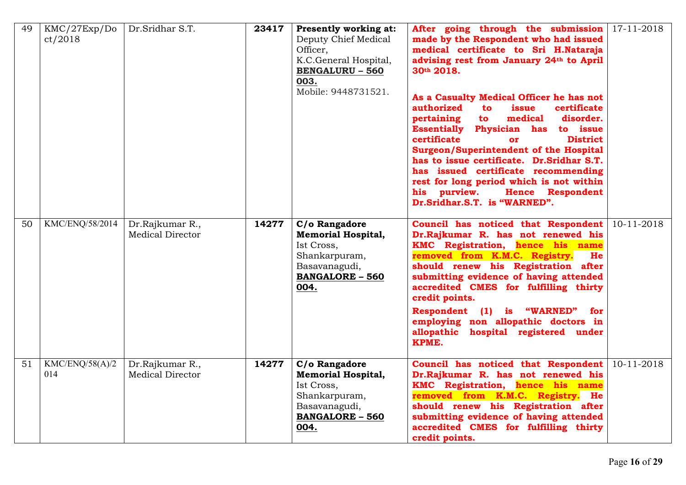| 49 | KMC/27Exp/Do<br>ct/2018 | Dr.Sridhar S.T.                            | 23417 | Presently working at:<br>Deputy Chief Medical<br>Officer,<br>K.C.General Hospital,<br><b>BENGALURU - 560</b><br>003.<br>Mobile: 9448731521. | After going through the submission $17-11-2018$<br>made by the Respondent who had issued<br>medical certificate to Sri H.Nataraja<br>advising rest from January 24th to April<br>30th 2018.<br>As a Casualty Medical Officer he has not<br>authorized<br>to<br>issue<br>certificate<br>medical<br>disorder.<br>pertaining<br>to<br>Essentially Physician has to issue<br>certificate<br><b>District</b><br>or<br><b>Surgeon/Superintendent of the Hospital</b><br>has to issue certificate. Dr.Sridhar S.T.<br>has issued certificate recommending<br>rest for long period which is not within<br>his purview.<br><b>Hence Respondent</b><br>Dr.Sridhar.S.T. is "WARNED". |            |
|----|-------------------------|--------------------------------------------|-------|---------------------------------------------------------------------------------------------------------------------------------------------|---------------------------------------------------------------------------------------------------------------------------------------------------------------------------------------------------------------------------------------------------------------------------------------------------------------------------------------------------------------------------------------------------------------------------------------------------------------------------------------------------------------------------------------------------------------------------------------------------------------------------------------------------------------------------|------------|
| 50 | KMC/ENQ/58/2014         | Dr.Rajkumar R.,<br><b>Medical Director</b> | 14277 | C/o Rangadore<br><b>Memorial Hospital,</b><br>Ist Cross,<br>Shankarpuram,<br>Basavanagudi,<br><b>BANGALORE - 560</b><br>004.                | <b>Council has noticed that Respondent</b> 10-11-2018<br>Dr.Rajkumar R. has not renewed his<br>KMC Registration, hence his name<br>removed from K.M.C. Registry.<br>He.<br>should renew his Registration after<br>submitting evidence of having attended<br>accredited CMES for fulfilling thirty<br>credit points.<br>Respondent (1) is "WARNED"<br>for<br>employing non allopathic doctors in<br>allopathic hospital registered under<br>KPME.                                                                                                                                                                                                                          |            |
| 51 | KMC/ENQ/58(A)/2<br>014  | Dr.Rajkumar R.,<br><b>Medical Director</b> | 14277 | C/o Rangadore<br><b>Memorial Hospital,</b><br>Ist Cross,<br>Shankarpuram,<br>Basavanagudi,<br><b>BANGALORE - 560</b><br>004.                | Council has noticed that Respondent<br>Dr.Rajkumar R. has not renewed his<br>KMC Registration, hence his name<br>removed from K.M.C. Registry. He<br>should renew his Registration after<br>submitting evidence of having attended<br>accredited CMES for fulfilling thirty<br>credit points.                                                                                                                                                                                                                                                                                                                                                                             | 10-11-2018 |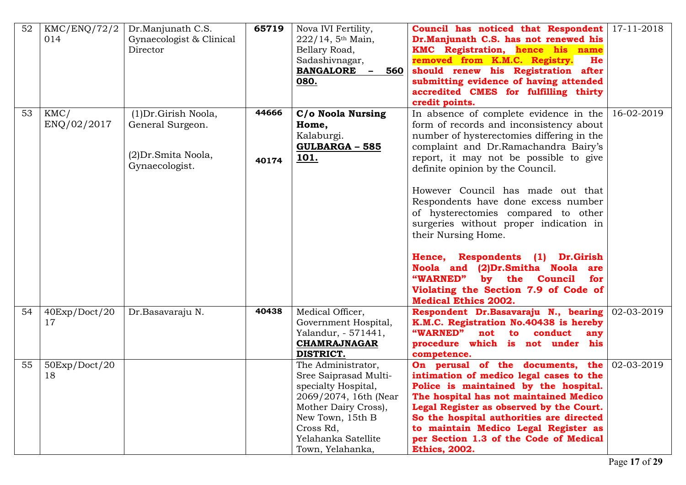| 52 | KMC/ENQ/72/2<br>014    | Dr.Manjunath C.S.<br>Gynaecologist & Clinical<br>Director                           | 65719          | Nova IVI Fertility,<br>222/14, 5 <sup>th</sup> Main,<br>Bellary Road,<br>Sadashivnagar,<br><b>BANGALORE</b><br>560<br>$-$ .<br>080.                                                             | Council has noticed that Respondent<br>Dr.Manjunath C.S. has not renewed his<br>KMC Registration, hence his name<br>removed from K.M.C. Registry.<br>He<br>should renew his Registration after<br>submitting evidence of having attended<br>accredited CMES for fulfilling thirty<br>credit points.                                                                                                                                                                                                                                                                                                                          | 17-11-2018 |
|----|------------------------|-------------------------------------------------------------------------------------|----------------|-------------------------------------------------------------------------------------------------------------------------------------------------------------------------------------------------|------------------------------------------------------------------------------------------------------------------------------------------------------------------------------------------------------------------------------------------------------------------------------------------------------------------------------------------------------------------------------------------------------------------------------------------------------------------------------------------------------------------------------------------------------------------------------------------------------------------------------|------------|
| 53 | KMC/<br>ENQ/02/2017    | (1) Dr. Girish Noola,<br>General Surgeon.<br>(2) Dr. Smita Noola,<br>Gynaecologist. | 44666<br>40174 | C/o Noola Nursing<br>Home,<br>Kalaburgi.<br><b>GULBARGA - 585</b><br><u>101.</u>                                                                                                                | In absence of complete evidence in the<br>form of records and inconsistency about<br>number of hysterectomies differing in the<br>complaint and Dr.Ramachandra Bairy's<br>report, it may not be possible to give<br>definite opinion by the Council.<br>However Council has made out that<br>Respondents have done excess number<br>of hysterectomies compared to other<br>surgeries without proper indication in<br>their Nursing Home.<br>Hence, Respondents (1) Dr.Girish<br>Noola and (2)Dr.Smitha Noola are<br>"WARNED"<br>by the Council<br>for<br>Violating the Section 7.9 of Code of<br><b>Medical Ethics 2002.</b> | 16-02-2019 |
| 54 | $40$ Exp/Doct/20<br>17 | Dr.Basavaraju N.                                                                    | 40438          | Medical Officer,<br>Government Hospital,<br>Yalandur, - 571441,<br><b>CHAMRAJNAGAR</b><br>DISTRICT.                                                                                             | Respondent Dr.Basavaraju N., bearing<br>K.M.C. Registration No.40438 is hereby<br>"WARNED"<br>not to<br>conduct<br>any<br>procedure which is not under his<br>competence.                                                                                                                                                                                                                                                                                                                                                                                                                                                    | 02-03-2019 |
| 55 | 50Exp/Doct/20<br>18    |                                                                                     |                | The Administrator,<br>Sree Saiprasad Multi-<br>specialty Hospital,<br>2069/2074, 16th (Near<br>Mother Dairy Cross),<br>New Town, 15th B<br>Cross Rd,<br>Yelahanka Satellite<br>Town, Yelahanka, | On perusal of the documents, the<br>intimation of medico legal cases to the<br>Police is maintained by the hospital.<br>The hospital has not maintained Medico<br>Legal Register as observed by the Court.<br>So the hospital authorities are directed<br>to maintain Medico Legal Register as<br>per Section 1.3 of the Code of Medical<br><b>Ethics, 2002.</b>                                                                                                                                                                                                                                                             | 02-03-2019 |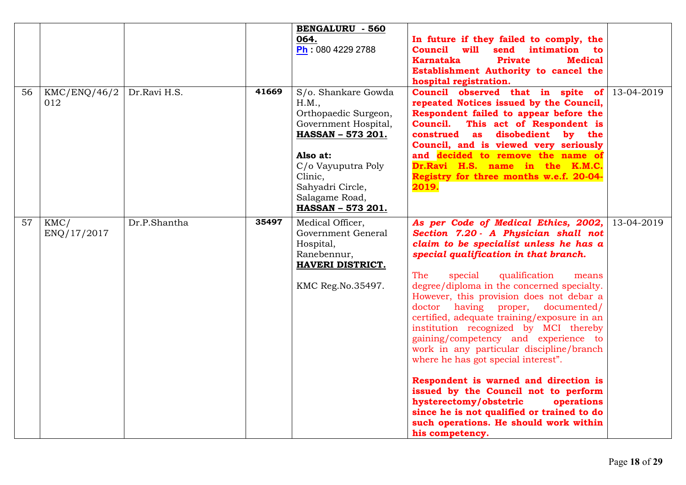|    |                     |              |       | <b>BENGALURU - 560</b>                                                                                                                                                                                    |                                                                                                                                                                                                                                                                                                                                                                                                                                                                                                                                                                                                                                                                                                                                                                                                   |            |
|----|---------------------|--------------|-------|-----------------------------------------------------------------------------------------------------------------------------------------------------------------------------------------------------------|---------------------------------------------------------------------------------------------------------------------------------------------------------------------------------------------------------------------------------------------------------------------------------------------------------------------------------------------------------------------------------------------------------------------------------------------------------------------------------------------------------------------------------------------------------------------------------------------------------------------------------------------------------------------------------------------------------------------------------------------------------------------------------------------------|------------|
|    |                     |              |       | 064.<br>Ph: 080 4229 2788                                                                                                                                                                                 | In future if they failed to comply, the<br>Council will send<br>intimation to<br><b>Karnataka</b><br><b>Private</b><br><b>Medical</b><br>Establishment Authority to cancel the<br>hospital registration.                                                                                                                                                                                                                                                                                                                                                                                                                                                                                                                                                                                          |            |
| 56 | KMC/ENQ/46/2<br>012 | Dr.Ravi H.S. | 41669 | S/o. Shankare Gowda<br>H.M.,<br>Orthopaedic Surgeon,<br>Government Hospital,<br>HASSAN - 573 201.<br>Also at:<br>C/o Vayuputra Poly<br>Clinic,<br>Sahyadri Circle,<br>Salagame Road,<br>HASSAN - 573 201. | Council observed that in spite of<br>repeated Notices issued by the Council,<br>Respondent failed to appear before the<br>This act of Respondent is<br>Council.<br>construed as disobedient by the<br>Council, and is viewed very seriously<br>and decided to remove the name of<br>Dr.Ravi H.S. name in the K.M.C.<br>Registry for three months w.e.f. 20-04-<br>2019.                                                                                                                                                                                                                                                                                                                                                                                                                           | 13-04-2019 |
| 57 | KMC/<br>ENQ/17/2017 | Dr.P.Shantha | 35497 | Medical Officer,<br>Government General<br>Hospital,<br>Ranebennur,<br>HAVERI DISTRICT.<br>KMC Reg.No.35497.                                                                                               | As per Code of Medical Ethics, 2002,<br>Section 7.20 - A Physician shall not<br>claim to be specialist unless he has a<br>special qualification in that branch.<br>The<br>special<br>qualification<br>means<br>degree/diploma in the concerned specialty.<br>However, this provision does not debar a<br>doctor having proper, documented/<br>certified, adequate training/exposure in an<br>institution recognized by MCI thereby<br>gaining/competency and experience to<br>work in any particular discipline/branch<br>where he has got special interest".<br>Respondent is warned and direction is<br>issued by the Council not to perform<br>hysterectomy/obstetric<br>operations<br>since he is not qualified or trained to do<br>such operations. He should work within<br>his competency. | 13-04-2019 |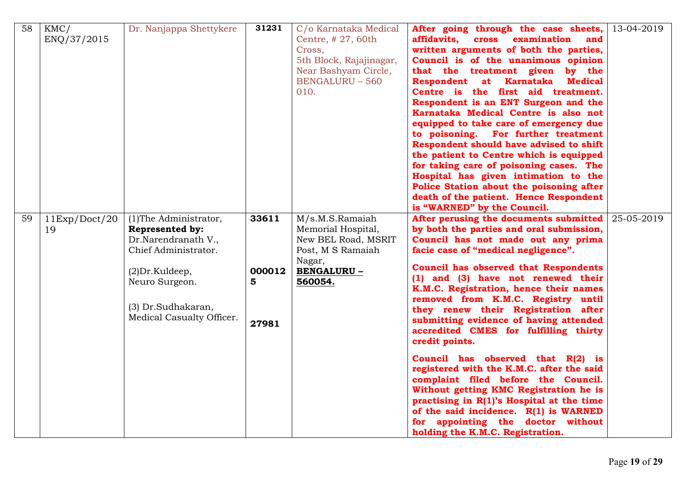| 58 | KMC/<br>ENQ/37/2015 | Dr. Nanjappa Shettykere                                                                                                                                                           | 31231                         | C/o Karnataka Medical<br>Centre, #27, 60th<br>Cross,<br>5th Block, Rajajinagar,<br>Near Bashyam Circle,<br><b>BENGALURU - 560</b><br>010. | After going through the case sheets,<br>affidavits,<br>cross examination<br>and<br>written arguments of both the parties,<br>Council is of the unanimous opinion<br>that the treatment given by the<br>Respondent at Karnataka<br><b>Medical</b><br>Centre is the first aid treatment.<br>Respondent is an ENT Surgeon and the<br>Karnataka Medical Centre is also not<br>equipped to take care of emergency due<br>to poisoning. For further treatment<br>Respondent should have advised to shift<br>the patient to Centre which is equipped<br>for taking care of poisoning cases. The<br>Hospital has given intimation to the<br>Police Station about the poisoning after<br>death of the patient. Hence Respondent<br>is "WARNED" by the Council. | 13-04-2019 |
|----|---------------------|-----------------------------------------------------------------------------------------------------------------------------------------------------------------------------------|-------------------------------|-------------------------------------------------------------------------------------------------------------------------------------------|-------------------------------------------------------------------------------------------------------------------------------------------------------------------------------------------------------------------------------------------------------------------------------------------------------------------------------------------------------------------------------------------------------------------------------------------------------------------------------------------------------------------------------------------------------------------------------------------------------------------------------------------------------------------------------------------------------------------------------------------------------|------------|
| 59 | 11Exp/Dot/20<br>19  | (1) The Administrator,<br>Represented by:<br>Dr.Narendranath V.,<br>Chief Administrator.<br>(2) Dr. Kuldeep,<br>Neuro Surgeon.<br>(3) Dr.Sudhakaran,<br>Medical Casualty Officer. | 33611<br>000012<br>5<br>27981 | M/s.M.S.Ramaiah<br>Memorial Hospital,<br>New BEL Road, MSRIT<br>Post, M S Ramaiah<br>Nagar,<br><b>BENGALURU -</b><br>560054.              | After perusing the documents submitted<br>by both the parties and oral submission,<br>Council has not made out any prima<br>facie case of "medical negligence".<br>Council has observed that Respondents<br>(1) and (3) have not renewed their<br>K.M.C. Registration, hence their names<br>removed from K.M.C. Registry until<br>they renew their Registration after<br>submitting evidence of having attended<br>accredited CMES for fulfilling thirty<br>credit points.<br>Council has observed that R(2) is                                                                                                                                                                                                                                       | 25-05-2019 |
|    |                     |                                                                                                                                                                                   |                               |                                                                                                                                           | registered with the K.M.C. after the said<br>complaint filed before the Council.<br>Without getting KMC Registration he is<br>practising in R(1)'s Hospital at the time<br>of the said incidence. $R(1)$ is WARNED<br>for appointing the doctor without<br>holding the K.M.C. Registration.                                                                                                                                                                                                                                                                                                                                                                                                                                                           |            |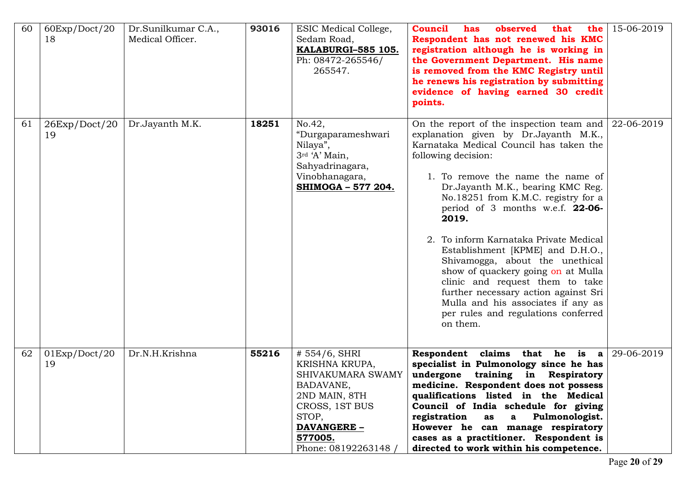| 60 | 60Exp/Doct/20<br>18 | Dr.Sunilkumar C.A.,<br>Medical Officer. | 93016 | ESIC Medical College,<br>Sedam Road,<br><b>KALABURGI-585 105.</b><br>Ph: 08472-265546/<br>265547.                                                                      | <b>Council</b><br>observed<br>that<br>has<br>the<br>Respondent has not renewed his KMC<br>registration although he is working in<br>the Government Department. His name<br>is removed from the KMC Registry until<br>he renews his registration by submitting<br>evidence of having earned 30 credit<br>points.                                                                                                                                                                                                                                                                                                                              | 15-06-2019 |
|----|---------------------|-----------------------------------------|-------|------------------------------------------------------------------------------------------------------------------------------------------------------------------------|----------------------------------------------------------------------------------------------------------------------------------------------------------------------------------------------------------------------------------------------------------------------------------------------------------------------------------------------------------------------------------------------------------------------------------------------------------------------------------------------------------------------------------------------------------------------------------------------------------------------------------------------|------------|
| 61 | 26Exp/Doct/20<br>19 | Dr.Jayanth M.K.                         | 18251 | No.42,<br>"Durgaparameshwari<br>Nilaya",<br>3rd 'A' Main,<br>Sahyadrinagara,<br>Vinobhanagara,<br>SHIMOGA - 577 204.                                                   | On the report of the inspection team and<br>explanation given by Dr.Jayanth M.K.,<br>Karnataka Medical Council has taken the<br>following decision:<br>1. To remove the name the name of<br>Dr.Jayanth M.K., bearing KMC Reg.<br>No.18251 from K.M.C. registry for a<br>period of 3 months w.e.f. 22-06-<br>2019.<br>2. To inform Karnataka Private Medical<br>Establishment [KPME] and D.H.O.,<br>Shivamogga, about the unethical<br>show of quackery going on at Mulla<br>clinic and request them to take<br>further necessary action against Sri<br>Mulla and his associates if any as<br>per rules and regulations conferred<br>on them. | 22-06-2019 |
| 62 | 01Exp/Dot/20<br>19  | Dr.N.H.Krishna                          | 55216 | # 554/6, SHRI<br>KRISHNA KRUPA,<br>SHIVAKUMARA SWAMY<br>BADAVANE,<br>2ND MAIN, 8TH<br>CROSS, 1ST BUS<br>STOP,<br><b>DAVANGERE -</b><br>577005.<br>Phone: 08192263148 / | Respondent claims that he is<br>a<br>specialist in Pulmonology since he has<br>undergone<br>training in<br>Respiratory<br>medicine. Respondent does not possess<br>qualifications listed in the Medical<br>Council of India schedule for giving<br>Pulmonologist.<br>registration<br>as<br>$\mathbf{a}$<br>However he can manage respiratory<br>cases as a practitioner. Respondent is<br>directed to work within his competence.                                                                                                                                                                                                            | 29-06-2019 |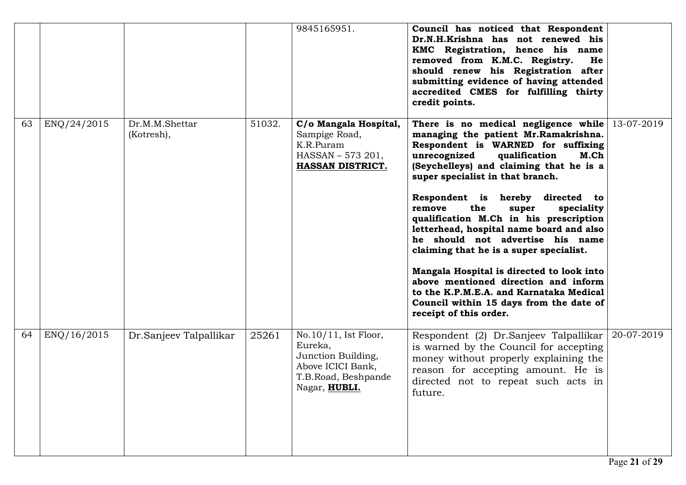|    |             |                              |        | 9845165951.                                                                                                                  | Council has noticed that Respondent<br>Dr.N.H.Krishna has not renewed his<br>KMC Registration, hence his name<br>removed from K.M.C. Registry.<br>He<br>should renew his Registration after<br>submitting evidence of having attended<br>accredited CMES for fulfilling thirty<br>credit points. |            |
|----|-------------|------------------------------|--------|------------------------------------------------------------------------------------------------------------------------------|--------------------------------------------------------------------------------------------------------------------------------------------------------------------------------------------------------------------------------------------------------------------------------------------------|------------|
| 63 | ENQ/24/2015 | Dr.M.M.Shettar<br>(Kotresh), | 51032. | C/o Mangala Hospital,<br>Sampige Road,<br>K.R.Puram<br>HASSAN - 573 201,<br><b>HASSAN DISTRICT.</b>                          | There is no medical negligence while<br>managing the patient Mr.Ramakrishna.<br>Respondent is WARNED for suffixing<br>qualification<br>unrecognized<br>M.Ch<br>(Seychelleys) and claiming that he is a<br>super specialist in that branch.                                                       | 13-07-2019 |
|    |             |                              |        |                                                                                                                              | Respondent is hereby directed to<br>the<br>remove<br>super<br>speciality<br>qualification M.Ch in his prescription<br>letterhead, hospital name board and also<br>he should not advertise his name<br>claiming that he is a super specialist.                                                    |            |
|    |             |                              |        |                                                                                                                              | Mangala Hospital is directed to look into<br>above mentioned direction and inform<br>to the K.P.M.E.A. and Karnataka Medical<br>Council within 15 days from the date of<br>receipt of this order.                                                                                                |            |
| 64 | ENQ/16/2015 | Dr.Sanjeev Talpallikar       | 25261  | $No.10/11$ , Ist Floor,<br>Eureka,<br>Junction Building,<br>Above ICICI Bank,<br>T.B.Road, Beshpande<br>Nagar, <b>HUBLI.</b> | Respondent (2) Dr. Sanjeev Talpallikar<br>is warned by the Council for accepting<br>money without properly explaining the<br>reason for accepting amount. He is<br>directed not to repeat such acts in<br>future.                                                                                | 20-07-2019 |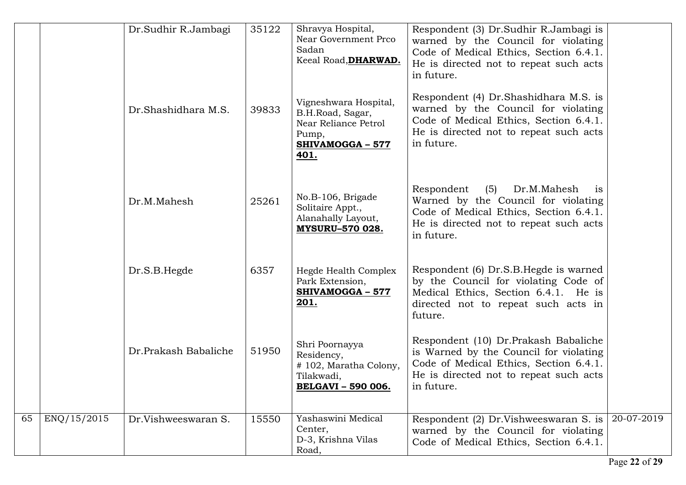|    |             | Dr.Sudhir R.Jambagi  | 35122 | Shravya Hospital,<br>Near Government Prco<br>Sadan<br>Keeal Road, DHARWAD.                             | Respondent (3) Dr.Sudhir R.Jambagi is<br>warned by the Council for violating<br>Code of Medical Ethics, Section 6.4.1.<br>He is directed not to repeat such acts<br>in future.    |                  |
|----|-------------|----------------------|-------|--------------------------------------------------------------------------------------------------------|-----------------------------------------------------------------------------------------------------------------------------------------------------------------------------------|------------------|
|    |             | Dr.Shashidhara M.S.  | 39833 | Vigneshwara Hospital,<br>B.H.Road, Sagar,<br>Near Reliance Petrol<br>Pump,<br>SHIVAMOGGA - 577<br>401. | Respondent (4) Dr.Shashidhara M.S. is<br>warned by the Council for violating<br>Code of Medical Ethics, Section 6.4.1.<br>He is directed not to repeat such acts<br>in future.    |                  |
|    |             | Dr.M.Mahesh          | 25261 | No.B-106, Brigade<br>Solitaire Appt.,<br>Alanahally Layout,<br><b>MYSURU-570 028.</b>                  | Respondent<br>(5)<br>Dr.M.Mahesh<br>1S<br>Warned by the Council for violating<br>Code of Medical Ethics, Section 6.4.1.<br>He is directed not to repeat such acts<br>in future.   |                  |
|    |             | Dr.S.B.Hegde         | 6357  | Hegde Health Complex<br>Park Extension,<br><b>SHIVAMOGGA - 577</b><br>201.                             | Respondent (6) Dr.S.B.Hegde is warned<br>by the Council for violating Code of<br>Medical Ethics, Section 6.4.1. He is<br>directed not to repeat such acts in<br>future.           |                  |
|    |             | Dr.Prakash Babaliche | 51950 | Shri Poornayya<br>Residency,<br>#102, Maratha Colony,<br>Tilakwadi,<br><b>BELGAVI - 590 006.</b>       | Respondent (10) Dr. Prakash Babaliche<br>is Warned by the Council for violating<br>Code of Medical Ethics, Section 6.4.1.<br>He is directed not to repeat such acts<br>in future. |                  |
| 65 | ENQ/15/2015 | Dr. Vishweeswaran S. | 15550 | Yashaswini Medical<br>Center,<br>D-3, Krishna Vilas<br>Road,                                           | Respondent (2) Dr. Vishweeswaran S. is<br>warned by the Council for violating<br>Code of Medical Ethics, Section 6.4.1.                                                           | $20 - 07 - 2019$ |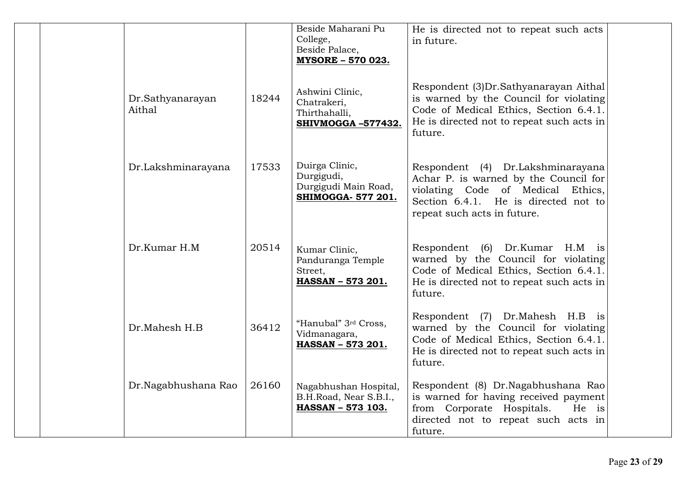|  |                            |       | Beside Maharani Pu<br>College,<br>Beside Palace,<br><b>MYSORE - 570 023.</b>      | He is directed not to repeat such acts<br>in future.                                                                                                                                    |  |
|--|----------------------------|-------|-----------------------------------------------------------------------------------|-----------------------------------------------------------------------------------------------------------------------------------------------------------------------------------------|--|
|  | Dr.Sathyanarayan<br>Aithal | 18244 | Ashwini Clinic,<br>Chatrakeri,<br>Thirthahalli,<br>SHIVMOGGA-577432.              | Respondent (3) Dr. Sathyanarayan Aithal<br>is warned by the Council for violating<br>Code of Medical Ethics, Section 6.4.1.<br>He is directed not to repeat such acts in<br>future.     |  |
|  | Dr.Lakshminarayana         | 17533 | Duirga Clinic,<br>Durgigudi,<br>Durgigudi Main Road,<br><b>SHIMOGGA- 577 201.</b> | Respondent (4) Dr. Lakshminarayana<br>Achar P. is warned by the Council for<br>violating Code of Medical Ethics,<br>Section 6.4.1. He is directed not to<br>repeat such acts in future. |  |
|  | Dr.Kumar H.M               | 20514 | Kumar Clinic,<br>Panduranga Temple<br>Street,<br>HASSAN - 573 201.                | Respondent (6) Dr.Kumar H.M is<br>warned by the Council for violating<br>Code of Medical Ethics, Section 6.4.1.<br>He is directed not to repeat such acts in<br>future.                 |  |
|  | Dr.Mahesh H.B              | 36412 | "Hanubal" 3rd Cross,<br>Vidmanagara,<br><b>HASSAN - 573 201.</b>                  | Respondent (7) Dr. Mahesh H.B is<br>warned by the Council for violating<br>Code of Medical Ethics, Section 6.4.1.<br>He is directed not to repeat such acts in<br>future.               |  |
|  | Dr.Nagabhushana Rao        | 26160 | Nagabhushan Hospital,<br>B.H.Road, Near S.B.I.,<br>HASSAN - 573 103.              | Respondent (8) Dr. Nagabhushana Rao<br>is warned for having received payment<br>from Corporate Hospitals.<br>He is<br>directed not to repeat such acts in<br>future.                    |  |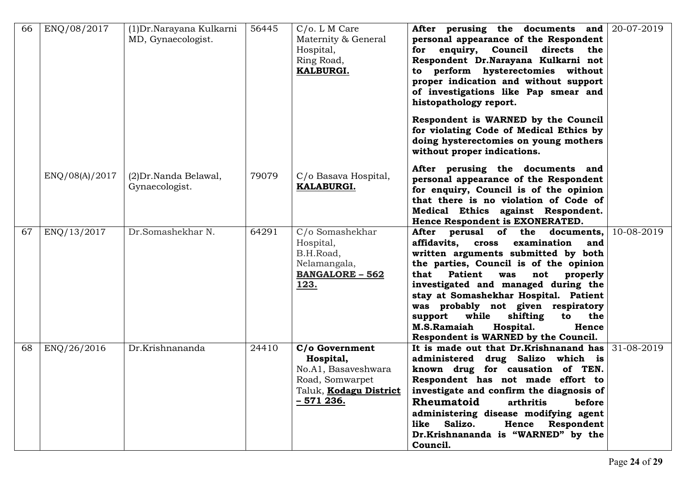| 66 | ENQ/08/2017    | (1) Dr. Narayana Kulkarni<br>MD, Gynaecologist. | 56445 | $C/O$ . L M Care<br>Maternity & General<br>Hospital,<br>Ring Road,<br>KALBURGI.                                                   | After perusing the documents and $20-07-2019$<br>personal appearance of the Respondent<br>for enquiry, Council directs the<br>Respondent Dr.Narayana Kulkarni not<br>to perform hysterectomies without<br>proper indication and without support<br>of investigations like Pap smear and<br>histopathology report.                                                                                                                                                     |            |
|----|----------------|-------------------------------------------------|-------|-----------------------------------------------------------------------------------------------------------------------------------|-----------------------------------------------------------------------------------------------------------------------------------------------------------------------------------------------------------------------------------------------------------------------------------------------------------------------------------------------------------------------------------------------------------------------------------------------------------------------|------------|
|    |                |                                                 |       |                                                                                                                                   | Respondent is WARNED by the Council<br>for violating Code of Medical Ethics by<br>doing hysterectomies on young mothers<br>without proper indications.                                                                                                                                                                                                                                                                                                                |            |
|    | ENQ/08(A)/2017 | (2) Dr. Nanda Belawal,<br>Gynaecologist.        | 79079 | C/o Basava Hospital,<br>KALABURGI.                                                                                                | After perusing the documents and<br>personal appearance of the Respondent<br>for enquiry, Council is of the opinion<br>that there is no violation of Code of<br>Medical Ethics against Respondent.<br>Hence Respondent is EXONERATED.                                                                                                                                                                                                                                 |            |
| 67 | ENQ/13/2017    | Dr.Somashekhar N.                               | 64291 | C/o Somashekhar<br>Hospital,<br>B.H.Road,<br>Nelamangala,<br><b>BANGALORE - 562</b><br><u>123.</u>                                | After perusal of the<br>documents,<br>affidavits,<br>examination<br><b>cross</b><br>and<br>written arguments submitted by both<br>the parties, Council is of the opinion<br>Patient<br>that<br>was<br>not<br>properly<br>investigated and managed during the<br>stay at Somashekhar Hospital. Patient<br>was probably not given respiratory<br>support<br>while<br>shifting<br>to<br>the<br>M.S.Ramaiah<br>Hospital.<br>Hence<br>Respondent is WARNED by the Council. | 10-08-2019 |
| 68 | ENQ/26/2016    | Dr.Krishnananda                                 | 24410 | C/o Government<br>Hospital,<br>No.A1, Basaveshwara<br>Road, Somwarpet<br>Taluk, <mark>Kodagu District</mark><br><u>– 571 236.</u> | It is made out that Dr.Krishnanand has<br>administered drug Salizo which is<br>known drug for causation of TEN.<br>Respondent has not made effort to<br>investigate and confirm the diagnosis of<br>Rheumatoid<br>arthritis<br>before<br>administering disease modifying agent<br>like Salizo.<br>Hence Respondent<br>Dr.Krishnananda is "WARNED" by the<br>Council.                                                                                                  | 31-08-2019 |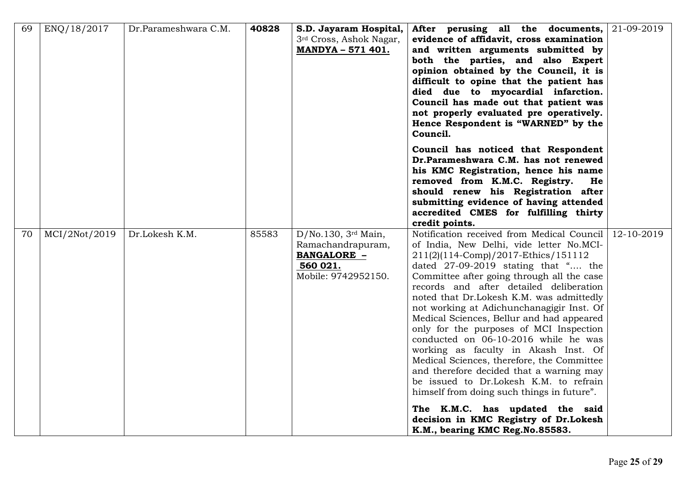| 69 | ENQ/18/2017   | Dr.Parameshwara C.M. | 40828 | S.D. Jayaram Hospital,<br>3 <sup>rd</sup> Cross, Ashok Nagar,<br><b>MANDYA - 571 401.</b>         | After perusing all the documents,<br>evidence of affidavit, cross examination<br>and written arguments submitted by<br>both the parties, and also Expert<br>opinion obtained by the Council, it is<br>difficult to opine that the patient has<br>died due to myocardial infarction.<br>Council has made out that patient was<br>not properly evaluated pre operatively.<br>Hence Respondent is "WARNED" by the<br>Council.<br>Council has noticed that Respondent<br>Dr.Parameshwara C.M. has not renewed                                                                                                                                                                                                                                                                                                                         | 21-09-2019 |
|----|---------------|----------------------|-------|---------------------------------------------------------------------------------------------------|-----------------------------------------------------------------------------------------------------------------------------------------------------------------------------------------------------------------------------------------------------------------------------------------------------------------------------------------------------------------------------------------------------------------------------------------------------------------------------------------------------------------------------------------------------------------------------------------------------------------------------------------------------------------------------------------------------------------------------------------------------------------------------------------------------------------------------------|------------|
|    |               |                      |       |                                                                                                   | his KMC Registration, hence his name<br>removed from K.M.C. Registry.<br>He<br>should renew his Registration after<br>submitting evidence of having attended<br>accredited CMES for fulfilling thirty<br>credit points.                                                                                                                                                                                                                                                                                                                                                                                                                                                                                                                                                                                                           |            |
| 70 | MCI/2Not/2019 | Dr.Lokesh K.M.       | 85583 | D/No.130, 3rd Main,<br>Ramachandrapuram,<br><b>BANGALORE -</b><br>560 021.<br>Mobile: 9742952150. | Notification received from Medical Council<br>of India, New Delhi, vide letter No.MCI-<br>211(2)(114-Comp)/2017-Ethics/151112<br>dated $27-09-2019$ stating that " the<br>Committee after going through all the case<br>records and after detailed deliberation<br>noted that Dr.Lokesh K.M. was admittedly<br>not working at Adichunchanagigir Inst. Of<br>Medical Sciences, Bellur and had appeared<br>only for the purposes of MCI Inspection<br>conducted on 06-10-2016 while he was<br>working as faculty in Akash Inst. Of<br>Medical Sciences, therefore, the Committee<br>and therefore decided that a warning may<br>be issued to Dr.Lokesh K.M. to refrain<br>himself from doing such things in future".<br>The K.M.C. has updated the said<br>decision in KMC Registry of Dr.Lokesh<br>K.M., bearing KMC Reg.No.85583. | 12-10-2019 |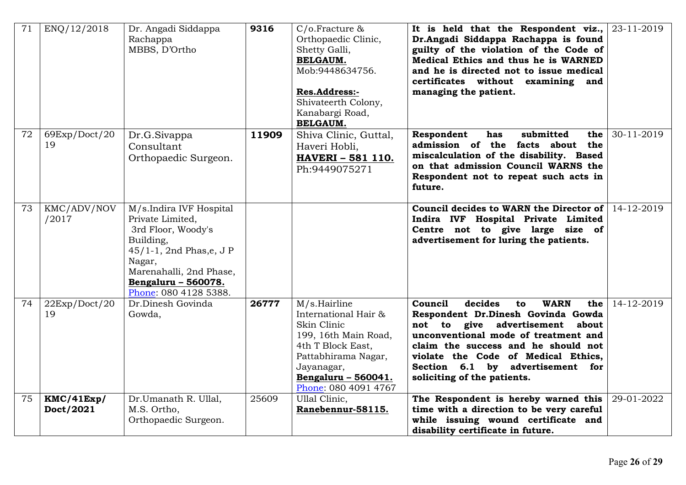| 71 | ENQ/12/2018             | Dr. Angadi Siddappa<br>Rachappa<br>MBBS, D'Ortho                                                                                                                                                | 9316  | $C/O$ . Fracture $\&$<br>Orthopaedic Clinic,<br>Shetty Galli,<br><b>BELGAUM.</b><br>Mob:9448634756.<br>Res.Address:-<br>Shivateerth Colony,<br>Kanabargi Road,<br><b>BELGAUM.</b>    | It is held that the Respondent viz.,<br>Dr.Angadi Siddappa Rachappa is found<br>guilty of the violation of the Code of<br>Medical Ethics and thus he is WARNED<br>and he is directed not to issue medical<br>certificates without examining and<br>managing the patient.                                         | 23-11-2019 |
|----|-------------------------|-------------------------------------------------------------------------------------------------------------------------------------------------------------------------------------------------|-------|--------------------------------------------------------------------------------------------------------------------------------------------------------------------------------------|------------------------------------------------------------------------------------------------------------------------------------------------------------------------------------------------------------------------------------------------------------------------------------------------------------------|------------|
| 72 | 69Exp/Doct/20<br>19     | Dr.G.Sivappa<br>Consultant<br>Orthopaedic Surgeon.                                                                                                                                              | 11909 | Shiva Clinic, Guttal,<br>Haveri Hobli,<br><b>HAVERI - 581 110.</b><br>Ph:9449075271                                                                                                  | Respondent<br>has<br>submitted<br>the<br>admission of the facts about<br>the<br>miscalculation of the disability. Based<br>on that admission Council WARNS the<br>Respondent not to repeat such acts in<br>future.                                                                                               | 30-11-2019 |
| 73 | KMC/ADV/NOV<br>/2017    | M/s.Indira IVF Hospital<br>Private Limited,<br>3rd Floor, Woody's<br>Building,<br>45/1-1, 2nd Phas, e, J P<br>Nagar,<br>Marenahalli, 2nd Phase,<br>Bengaluru - 560078.<br>Phone: 080 4128 5388. |       |                                                                                                                                                                                      | Council decides to WARN the Director of<br>Indira IVF Hospital Private Limited<br>Centre not to give large size of<br>advertisement for luring the patients.                                                                                                                                                     | 14-12-2019 |
| 74 | 22Exp/Dot/20<br>19      | Dr.Dinesh Govinda<br>Gowda,                                                                                                                                                                     | 26777 | M/s.Hairline<br>International Hair &<br>Skin Clinic<br>199, 16th Main Road,<br>4th T Block East,<br>Pattabhirama Nagar,<br>Jayanagar,<br>Bengaluru - 560041.<br>Phone: 080 4091 4767 | Council<br>decides<br><b>WARN</b><br>to<br>the<br>Respondent Dr.Dinesh Govinda Gowda<br>not to give advertisement about<br>unconventional mode of treatment and<br>claim the success and he should not<br>violate the Code of Medical Ethics,<br>Section 6.1 by advertisement for<br>soliciting of the patients. | 14-12-2019 |
| 75 | KMC/41Exp/<br>Doct/2021 | Dr.Umanath R. Ullal,<br>M.S. Ortho,<br>Orthopaedic Surgeon.                                                                                                                                     | 25609 | Ullal Clinic,<br>Ranebennur-58115.                                                                                                                                                   | The Respondent is hereby warned this<br>time with a direction to be very careful<br>while issuing wound certificate and<br>disability certificate in future.                                                                                                                                                     | 29-01-2022 |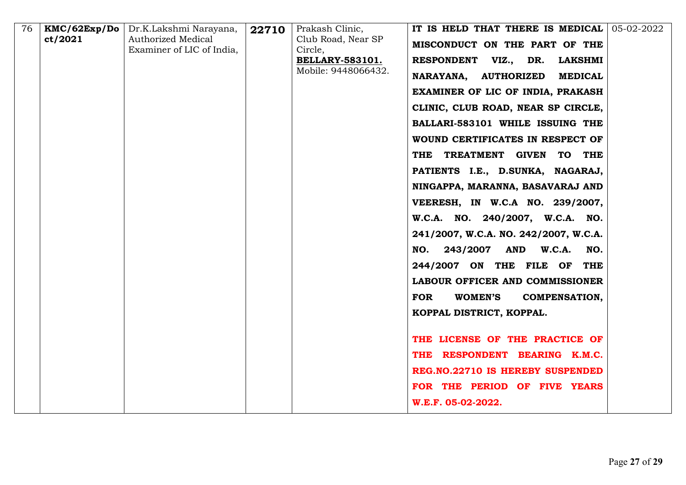| 76 | KMC/62Exp/Do | Dr.K.Lakshmi Narayana,                                 | 22710 | Prakash Clinic,               | IT IS HELD THAT THERE IS MEDICAL $ 05-02-2022 $      |  |
|----|--------------|--------------------------------------------------------|-------|-------------------------------|------------------------------------------------------|--|
|    | ct/2021      | <b>Authorized Medical</b><br>Examiner of LIC of India, |       | Club Road, Near SP<br>Circle, | MISCONDUCT ON THE PART OF THE                        |  |
|    |              |                                                        |       | <b>BELLARY-583101.</b>        | RESPONDENT VIZ., DR. LAKSHMI                         |  |
|    |              |                                                        |       | Mobile: 9448066432.           | NARAYANA, AUTHORIZED<br><b>MEDICAL</b>               |  |
|    |              |                                                        |       |                               | <b>EXAMINER OF LIC OF INDIA, PRAKASH</b>             |  |
|    |              |                                                        |       |                               | CLINIC, CLUB ROAD, NEAR SP CIRCLE,                   |  |
|    |              |                                                        |       |                               | BALLARI-583101 WHILE ISSUING THE                     |  |
|    |              |                                                        |       |                               | WOUND CERTIFICATES IN RESPECT OF                     |  |
|    |              |                                                        |       |                               | THE TREATMENT GIVEN TO THE                           |  |
|    |              |                                                        |       |                               | PATIENTS I.E., D.SUNKA, NAGARAJ,                     |  |
|    |              |                                                        |       |                               | NINGAPPA, MARANNA, BASAVARAJ AND                     |  |
|    |              |                                                        |       |                               | VEERESH, IN W.C.A NO. 239/2007,                      |  |
|    |              |                                                        |       |                               | W.C.A. NO. 240/2007, W.C.A. NO.                      |  |
|    |              |                                                        |       |                               | 241/2007, W.C.A. NO. 242/2007, W.C.A.                |  |
|    |              |                                                        |       |                               | 243/2007 AND W.C.A.<br>NO.<br>NO.                    |  |
|    |              |                                                        |       |                               | 244/2007 ON THE FILE OF<br><b>THE</b>                |  |
|    |              |                                                        |       |                               | LABOUR OFFICER AND COMMISSIONER                      |  |
|    |              |                                                        |       |                               | <b>WOMEN'S</b><br><b>FOR</b><br><b>COMPENSATION,</b> |  |
|    |              |                                                        |       |                               | KOPPAL DISTRICT, KOPPAL.                             |  |
|    |              |                                                        |       |                               |                                                      |  |
|    |              |                                                        |       |                               | THE LICENSE OF THE PRACTICE OF                       |  |
|    |              |                                                        |       |                               | THE RESPONDENT BEARING K.M.C.                        |  |
|    |              |                                                        |       |                               | REG.NO.22710 IS HEREBY SUSPENDED                     |  |
|    |              |                                                        |       |                               | FOR THE PERIOD OF FIVE YEARS                         |  |
|    |              |                                                        |       |                               | W.E.F. 05-02-2022.                                   |  |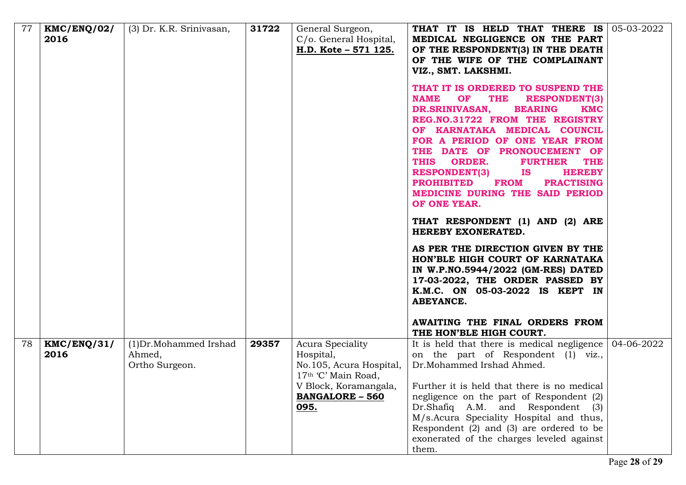| H.D. Kote - 571 125.<br>OF THE RESPONDENT(3) IN THE DEATH<br>OF THE WIFE OF THE COMPLAINANT<br>VIZ., SMT. LAKSHMI.<br>THAT IT IS ORDERED TO SUSPEND THE<br><b>THE</b><br><b>NAME</b><br>OF<br>DR.SRINIVASAN,<br><b>BEARING</b><br>REG.NO.31722 FROM THE REGISTRY<br>OF KARNATAKA MEDICAL COUNCIL<br>FOR A PERIOD OF ONE YEAR FROM<br>THE DATE OF PRONOUCEMENT OF<br><b>ORDER.</b><br><b>FURTHER</b><br><b>THIS</b> |                                                  |
|--------------------------------------------------------------------------------------------------------------------------------------------------------------------------------------------------------------------------------------------------------------------------------------------------------------------------------------------------------------------------------------------------------------------|--------------------------------------------------|
|                                                                                                                                                                                                                                                                                                                                                                                                                    |                                                  |
|                                                                                                                                                                                                                                                                                                                                                                                                                    |                                                  |
|                                                                                                                                                                                                                                                                                                                                                                                                                    | <b>RESPONDENT(3)</b><br><b>KMC</b>               |
| RESPONDENT(3)<br><b>IS</b><br><b>PROHIBITED</b><br><b>FROM</b><br>MEDICINE DURING THE SAID PERIOD<br>OF ONE YEAR.                                                                                                                                                                                                                                                                                                  | <b>THE</b><br><b>HEREBY</b><br><b>PRACTISING</b> |
| THAT RESPONDENT (1) AND (2) ARE<br>HEREBY EXONERATED.                                                                                                                                                                                                                                                                                                                                                              |                                                  |
| AS PER THE DIRECTION GIVEN BY THE<br>HON'BLE HIGH COURT OF KARNATAKA<br>IN W.P.NO.5944/2022 (GM-RES) DATED<br>17-03-2022, THE ORDER PASSED BY<br>K.M.C. ON 05-03-2022 IS KEPT IN<br><b>ABEYANCE.</b>                                                                                                                                                                                                               |                                                  |
| <b>AWAITING THE FINAL ORDERS FROM</b><br>THE HON'BLE HIGH COURT.                                                                                                                                                                                                                                                                                                                                                   |                                                  |
| (1) Dr. Mohammed Irshad<br>Acura Speciality<br>It is held that there is medical negligence<br>KMC/ENQ/31/<br>29357<br>78<br>2016<br>Ahmed,<br>on the part of Respondent (1) viz.,<br>Hospital,<br>Dr.Mohammed Irshad Ahmed.<br>No.105, Acura Hospital,<br>Ortho Surgeon.<br>17th 'C' Main Road,                                                                                                                    | 04-06-2022                                       |
| V Block, Koramangala,<br>Further it is held that there is no medical<br><b>BANGALORE - 560</b><br>negligence on the part of Respondent (2)<br>095.<br>Dr.Shafiq A.M. and Respondent (3)<br>M/s.Acura Speciality Hospital and thus,<br>Respondent $(2)$ and $(3)$ are ordered to be<br>exonerated of the charges leveled against<br>them.                                                                           |                                                  |